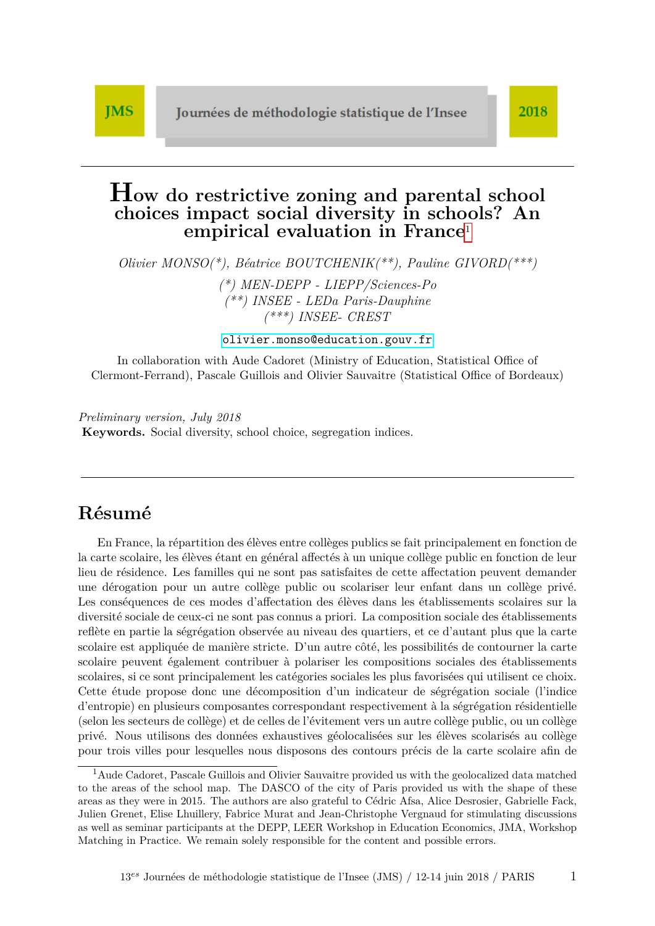# <span id="page-0-0"></span>**How do restrictive zoning and parental school choices impact social diversity in schools? An empirical evaluation in France**<sup>1</sup>

*Olivier MONSO(\*), Béatrice BOUTCHENIK(\*\*), Pauline GIVORD(\*\*\*)*

*(\*) MEN-DEPP - LIEPP/Sciences-Po (\*\*) INSEE - LEDa Paris-Dauphine (\*\*\*) INSEE- CREST*

<olivier.monso@education.gouv.fr>

In collaboration with Aude Cadoret (Ministry of Education, Statistical Office of Clermont-Ferrand), Pascale Guillois and Olivier Sauvaitre (Statistical Office of Bordeaux)

*Preliminary version, July 2018* **Keywords.** Social diversity, school choice, segregation indices.

# **Résumé**

En France, la répartition des élèves entre collèges publics se fait principalement en fonction de la carte scolaire, les élèves étant en général affectés à un unique collège public en fonction de leur lieu de résidence. Les familles qui ne sont pas satisfaites de cette affectation peuvent demander une dérogation pour un autre collège public ou scolariser leur enfant dans un collège privé. Les conséquences de ces modes d'affectation des élèves dans les établissements scolaires sur la diversité sociale de ceux-ci ne sont pas connus a priori. La composition sociale des établissements reflète en partie la ségrégation observée au niveau des quartiers, et ce d'autant plus que la carte scolaire est appliquée de manière stricte. D'un autre côté, les possibilités de contourner la carte scolaire peuvent également contribuer à polariser les compositions sociales des établissements scolaires, si ce sont principalement les catégories sociales les plus favorisées qui utilisent ce choix. Cette étude propose donc une décomposition d'un indicateur de ségrégation sociale (l'indice d'entropie) en plusieurs composantes correspondant respectivement à la ségrégation résidentielle (selon les secteurs de collège) et de celles de l'évitement vers un autre collège public, ou un collège privé. Nous utilisons des données exhaustives géolocalisées sur les élèves scolarisés au collège pour trois villes pour lesquelles nous disposons des contours précis de la carte scolaire afin de

<sup>&</sup>lt;sup>1</sup> Aude Cadoret, Pascale Guillois and Olivier Sauvaitre provided us with the geolocalized data matched to the areas of the school map. The DASCO of the city of Paris provided us with the shape of these areas as they were in 2015. The authors are also grateful to Cédric Afsa, Alice Desrosier, Gabrielle Fack, Julien Grenet, Elise Lhuillery, Fabrice Murat and Jean-Christophe Vergnaud for stimulating discussions as well as seminar participants at the DEPP, LEER Workshop in Education Economics, JMA, Workshop Matching in Practice. We remain solely responsible for the content and possible errors.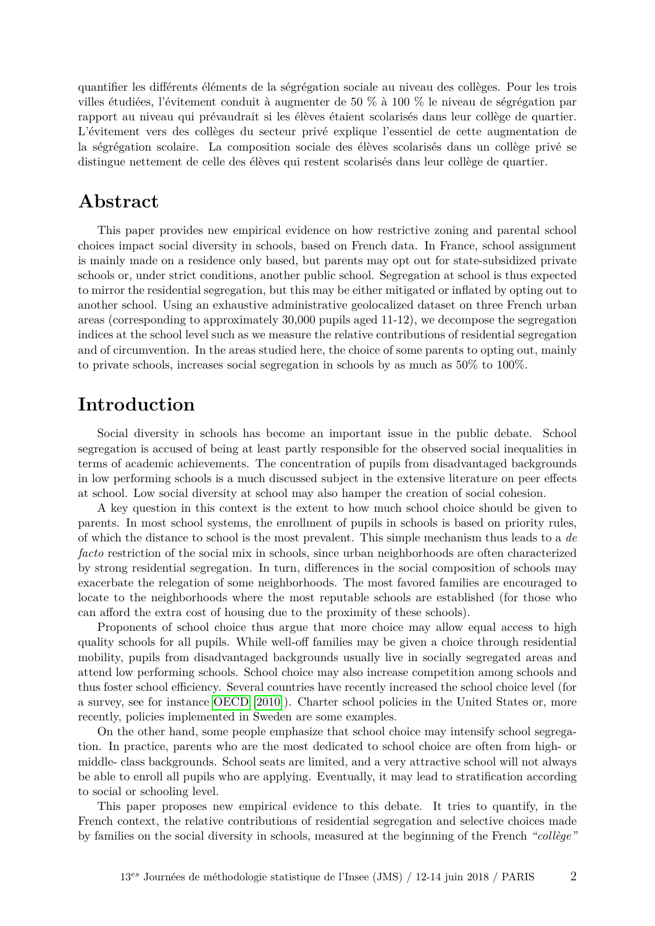quantifier les différents éléments de la ségrégation sociale au niveau des collèges. Pour les trois villes étudiées, l'évitement conduit à augmenter de 50 % à 100 % le niveau de ségrégation par rapport au niveau qui prévaudrait si les élèves étaient scolarisés dans leur collège de quartier. L'évitement vers des collèges du secteur privé explique l'essentiel de cette augmentation de la ségrégation scolaire. La composition sociale des élèves scolarisés dans un collège privé se distingue nettement de celle des élèves qui restent scolarisés dans leur collège de quartier.

### **Abstract**

This paper provides new empirical evidence on how restrictive zoning and parental school choices impact social diversity in schools, based on French data. In France, school assignment is mainly made on a residence only based, but parents may opt out for state-subsidized private schools or, under strict conditions, another public school. Segregation at school is thus expected to mirror the residential segregation, but this may be either mitigated or inflated by opting out to another school. Using an exhaustive administrative geolocalized dataset on three French urban areas (corresponding to approximately 30,000 pupils aged 11-12), we decompose the segregation indices at the school level such as we measure the relative contributions of residential segregation and of circumvention. In the areas studied here, the choice of some parents to opting out, mainly to private schools, increases social segregation in schools by as much as 50% to 100%.

## **Introduction**

Social diversity in schools has become an important issue in the public debate. School segregation is accused of being at least partly responsible for the observed social inequalities in terms of academic achievements. The concentration of pupils from disadvantaged backgrounds in low performing schools is a much discussed subject in the extensive literature on peer effects at school. Low social diversity at school may also hamper the creation of social cohesion.

A key question in this context is the extent to how much school choice should be given to parents. In most school systems, the enrollment of pupils in schools is based on priority rules, of which the distance to school is the most prevalent. This simple mechanism thus leads to a *de facto* restriction of the social mix in schools, since urban neighborhoods are often characterized by strong residential segregation. In turn, differences in the social composition of schools may exacerbate the relegation of some neighborhoods. The most favored families are encouraged to locate to the neighborhoods where the most reputable schools are established (for those who can afford the extra cost of housing due to the proximity of these schools).

Proponents of school choice thus argue that more choice may allow equal access to high quality schools for all pupils. While well-off families may be given a choice through residential mobility, pupils from disadvantaged backgrounds usually live in socially segregated areas and attend low performing schools. School choice may also increase competition among schools and thus foster school efficiency. Several countries have recently increased the school choice level (for a survey, see for instance [OECD](#page-15-0) [\[2010\]](#page-15-0)). Charter school policies in the United States or, more recently, policies implemented in Sweden are some examples.

On the other hand, some people emphasize that school choice may intensify school segregation. In practice, parents who are the most dedicated to school choice are often from high- or middle- class backgrounds. School seats are limited, and a very attractive school will not always be able to enroll all pupils who are applying. Eventually, it may lead to stratification according to social or schooling level.

This paper proposes new empirical evidence to this debate. It tries to quantify, in the French context, the relative contributions of residential segregation and selective choices made by families on the social diversity in schools, measured at the beginning of the French *"collège"*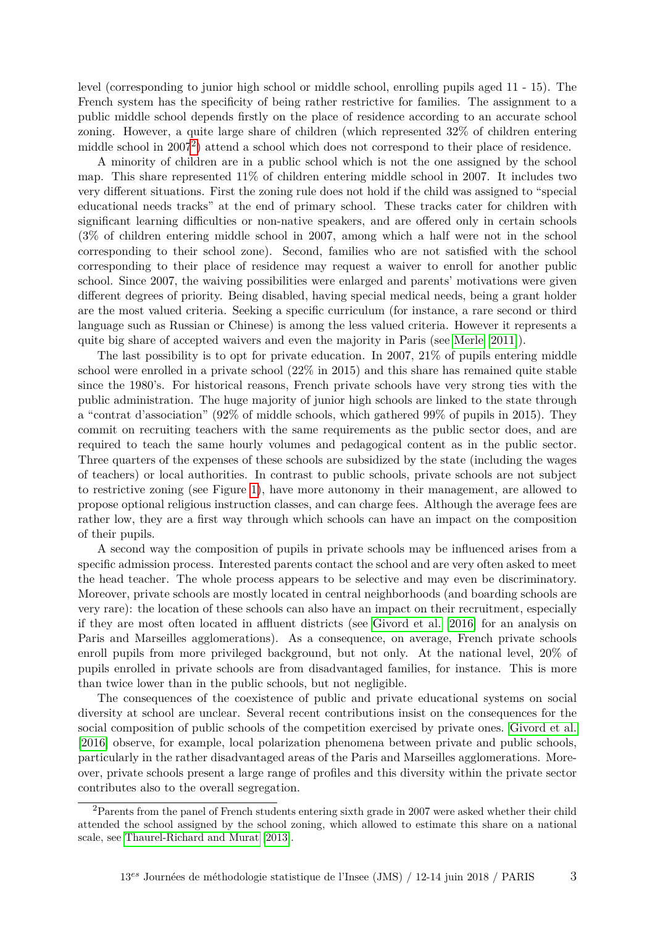level (corresponding to junior high school or middle school, enrolling pupils aged 11 - 15). The French system has the specificity of being rather restrictive for families. The assignment to a public middle school depends firstly on the place of residence according to an accurate school zoning. However, a quite large share of children (which represented 32% of children entering middle school in [2](#page-0-0)007<sup>2</sup>) attend a school which does not correspond to their place of residence.

A minority of children are in a public school which is not the one assigned by the school map. This share represented 11% of children entering middle school in 2007. It includes two very different situations. First the zoning rule does not hold if the child was assigned to "special educational needs tracks" at the end of primary school. These tracks cater for children with significant learning difficulties or non-native speakers, and are offered only in certain schools (3% of children entering middle school in 2007, among which a half were not in the school corresponding to their school zone). Second, families who are not satisfied with the school corresponding to their place of residence may request a waiver to enroll for another public school. Since 2007, the waiving possibilities were enlarged and parents' motivations were given different degrees of priority. Being disabled, having special medical needs, being a grant holder are the most valued criteria. Seeking a specific curriculum (for instance, a rare second or third language such as Russian or Chinese) is among the less valued criteria. However it represents a quite big share of accepted waivers and even the majority in Paris (see [Merle](#page-15-1) [\[2011\]](#page-15-1)).

The last possibility is to opt for private education. In 2007, 21% of pupils entering middle school were enrolled in a private school (22% in 2015) and this share has remained quite stable since the 1980's. For historical reasons, French private schools have very strong ties with the public administration. The huge majority of junior high schools are linked to the state through a "contrat d'association" (92% of middle schools, which gathered 99% of pupils in 2015). They commit on recruiting teachers with the same requirements as the public sector does, and are required to teach the same hourly volumes and pedagogical content as in the public sector. Three quarters of the expenses of these schools are subsidized by the state (including the wages of teachers) or local authorities. In contrast to public schools, private schools are not subject to restrictive zoning (see Figure [1\)](#page-3-0), have more autonomy in their management, are allowed to propose optional religious instruction classes, and can charge fees. Although the average fees are rather low, they are a first way through which schools can have an impact on the composition of their pupils.

A second way the composition of pupils in private schools may be influenced arises from a specific admission process. Interested parents contact the school and are very often asked to meet the head teacher. The whole process appears to be selective and may even be discriminatory. Moreover, private schools are mostly located in central neighborhoods (and boarding schools are very rare): the location of these schools can also have an impact on their recruitment, especially if they are most often located in affluent districts (see [Givord et al.](#page-15-2) [\[2016\]](#page-15-2) for an analysis on Paris and Marseilles agglomerations). As a consequence, on average, French private schools enroll pupils from more privileged background, but not only. At the national level, 20% of pupils enrolled in private schools are from disadvantaged families, for instance. This is more than twice lower than in the public schools, but not negligible.

The consequences of the coexistence of public and private educational systems on social diversity at school are unclear. Several recent contributions insist on the consequences for the social composition of public schools of the competition exercised by private ones. [Givord et al.](#page-15-2) [\[2016\]](#page-15-2) observe, for example, local polarization phenomena between private and public schools, particularly in the rather disadvantaged areas of the Paris and Marseilles agglomerations. Moreover, private schools present a large range of profiles and this diversity within the private sector contributes also to the overall segregation.

<sup>&</sup>lt;sup>2</sup>Parents from the panel of French students entering sixth grade in 2007 were asked whether their child attended the school assigned by the school zoning, which allowed to estimate this share on a national scale, see [Thaurel-Richard and Murat](#page-16-0) [\[2013\]](#page-16-0).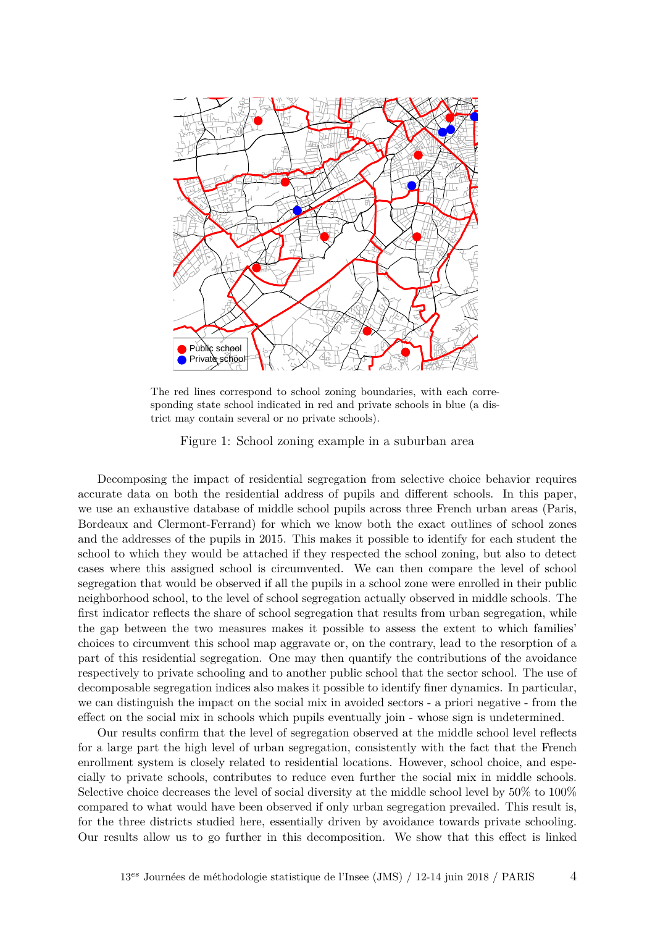

The red lines correspond to school zoning boundaries, with each corresponding state school indicated in red and private schools in blue (a district may contain several or no private schools).

<span id="page-3-0"></span>Figure 1: School zoning example in a suburban area

Decomposing the impact of residential segregation from selective choice behavior requires accurate data on both the residential address of pupils and different schools. In this paper, we use an exhaustive database of middle school pupils across three French urban areas (Paris, Bordeaux and Clermont-Ferrand) for which we know both the exact outlines of school zones and the addresses of the pupils in 2015. This makes it possible to identify for each student the school to which they would be attached if they respected the school zoning, but also to detect cases where this assigned school is circumvented. We can then compare the level of school segregation that would be observed if all the pupils in a school zone were enrolled in their public neighborhood school, to the level of school segregation actually observed in middle schools. The first indicator reflects the share of school segregation that results from urban segregation, while the gap between the two measures makes it possible to assess the extent to which families' choices to circumvent this school map aggravate or, on the contrary, lead to the resorption of a part of this residential segregation. One may then quantify the contributions of the avoidance respectively to private schooling and to another public school that the sector school. The use of decomposable segregation indices also makes it possible to identify finer dynamics. In particular, we can distinguish the impact on the social mix in avoided sectors - a priori negative - from the effect on the social mix in schools which pupils eventually join - whose sign is undetermined.

Our results confirm that the level of segregation observed at the middle school level reflects for a large part the high level of urban segregation, consistently with the fact that the French enrollment system is closely related to residential locations. However, school choice, and especially to private schools, contributes to reduce even further the social mix in middle schools. Selective choice decreases the level of social diversity at the middle school level by 50% to 100% compared to what would have been observed if only urban segregation prevailed. This result is, for the three districts studied here, essentially driven by avoidance towards private schooling. Our results allow us to go further in this decomposition. We show that this effect is linked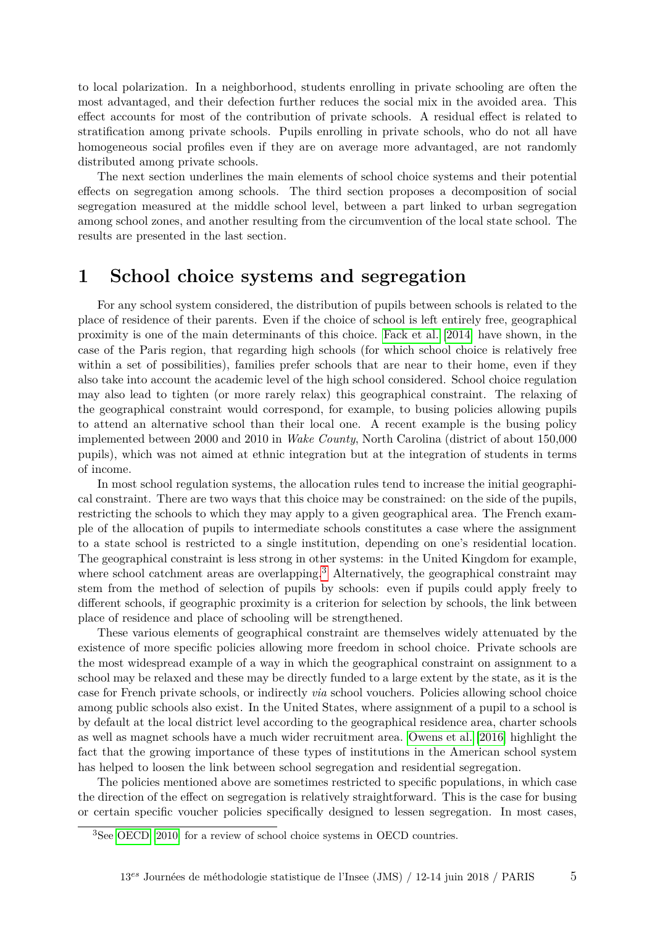to local polarization. In a neighborhood, students enrolling in private schooling are often the most advantaged, and their defection further reduces the social mix in the avoided area. This effect accounts for most of the contribution of private schools. A residual effect is related to stratification among private schools. Pupils enrolling in private schools, who do not all have homogeneous social profiles even if they are on average more advantaged, are not randomly distributed among private schools.

The next section underlines the main elements of school choice systems and their potential effects on segregation among schools. The third section proposes a decomposition of social segregation measured at the middle school level, between a part linked to urban segregation among school zones, and another resulting from the circumvention of the local state school. The results are presented in the last section.

### **1 School choice systems and segregation**

For any school system considered, the distribution of pupils between schools is related to the place of residence of their parents. Even if the choice of school is left entirely free, geographical proximity is one of the main determinants of this choice. [Fack et al.](#page-15-3) [\[2014\]](#page-15-3) have shown, in the case of the Paris region, that regarding high schools (for which school choice is relatively free within a set of possibilities), families prefer schools that are near to their home, even if they also take into account the academic level of the high school considered. School choice regulation may also lead to tighten (or more rarely relax) this geographical constraint. The relaxing of the geographical constraint would correspond, for example, to busing policies allowing pupils to attend an alternative school than their local one. A recent example is the busing policy implemented between 2000 and 2010 in *Wake County*, North Carolina (district of about 150,000 pupils), which was not aimed at ethnic integration but at the integration of students in terms of income.

In most school regulation systems, the allocation rules tend to increase the initial geographical constraint. There are two ways that this choice may be constrained: on the side of the pupils, restricting the schools to which they may apply to a given geographical area. The French example of the allocation of pupils to intermediate schools constitutes a case where the assignment to a state school is restricted to a single institution, depending on one's residential location. The geographical constraint is less strong in other systems: in the United Kingdom for example, where school catchment areas are overlapping.<sup>[3](#page-0-0)</sup> Alternatively, the geographical constraint may stem from the method of selection of pupils by schools: even if pupils could apply freely to different schools, if geographic proximity is a criterion for selection by schools, the link between place of residence and place of schooling will be strengthened.

These various elements of geographical constraint are themselves widely attenuated by the existence of more specific policies allowing more freedom in school choice. Private schools are the most widespread example of a way in which the geographical constraint on assignment to a school may be relaxed and these may be directly funded to a large extent by the state, as it is the case for French private schools, or indirectly *via* school vouchers. Policies allowing school choice among public schools also exist. In the United States, where assignment of a pupil to a school is by default at the local district level according to the geographical residence area, charter schools as well as magnet schools have a much wider recruitment area. [Owens et al.](#page-15-4) [\[2016\]](#page-15-4) highlight the fact that the growing importance of these types of institutions in the American school system has helped to loosen the link between school segregation and residential segregation.

The policies mentioned above are sometimes restricted to specific populations, in which case the direction of the effect on segregation is relatively straightforward. This is the case for busing or certain specific voucher policies specifically designed to lessen segregation. In most cases,

<sup>3</sup>See [OECD](#page-15-0) [\[2010\]](#page-15-0) for a review of school choice systems in OECD countries.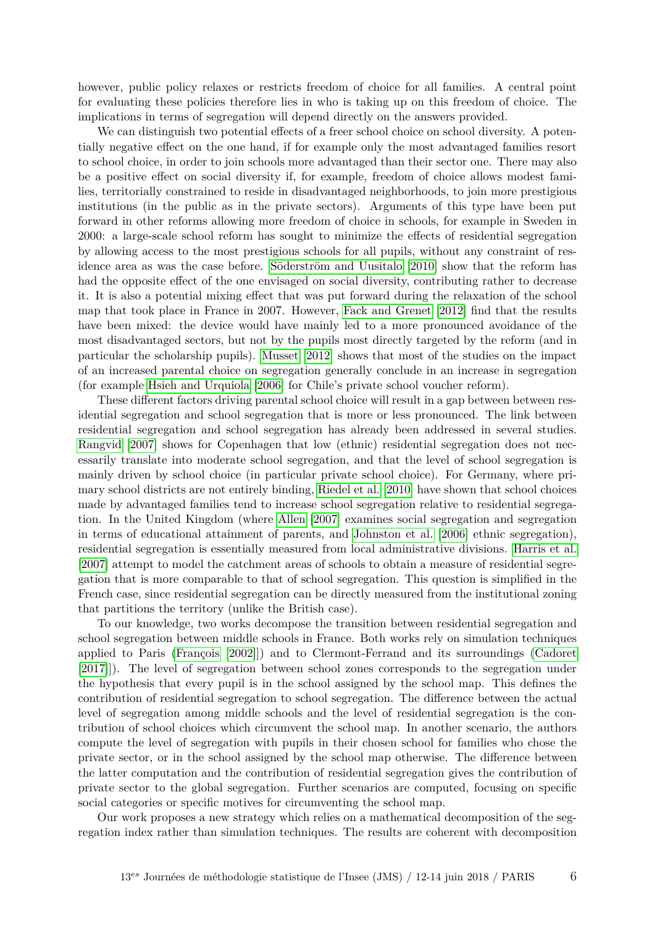however, public policy relaxes or restricts freedom of choice for all families. A central point for evaluating these policies therefore lies in who is taking up on this freedom of choice. The implications in terms of segregation will depend directly on the answers provided.

We can distinguish two potential effects of a freer school choice on school diversity. A potentially negative effect on the one hand, if for example only the most advantaged families resort to school choice, in order to join schools more advantaged than their sector one. There may also be a positive effect on social diversity if, for example, freedom of choice allows modest families, territorially constrained to reside in disadvantaged neighborhoods, to join more prestigious institutions (in the public as in the private sectors). Arguments of this type have been put forward in other reforms allowing more freedom of choice in schools, for example in Sweden in 2000: a large-scale school reform has sought to minimize the effects of residential segregation by allowing access to the most prestigious schools for all pupils, without any constraint of residence area as was the case before. [Söderström and Uusitalo](#page-16-1) [\[2010\]](#page-16-1) show that the reform has had the opposite effect of the one envisaged on social diversity, contributing rather to decrease it. It is also a potential mixing effect that was put forward during the relaxation of the school map that took place in France in 2007. However, [Fack and Grenet](#page-15-5) [\[2012\]](#page-15-5) find that the results have been mixed: the device would have mainly led to a more pronounced avoidance of the most disadvantaged sectors, but not by the pupils most directly targeted by the reform (and in particular the scholarship pupils). [Musset](#page-15-6) [\[2012\]](#page-15-6) shows that most of the studies on the impact of an increased parental choice on segregation generally conclude in an increase in segregation (for example [Hsieh and Urquiola](#page-15-7) [\[2006\]](#page-15-7) for Chile's private school voucher reform).

These different factors driving parental school choice will result in a gap between between residential segregation and school segregation that is more or less pronounced. The link between residential segregation and school segregation has already been addressed in several studies. [Rangvid](#page-16-2) [\[2007\]](#page-16-2) shows for Copenhagen that low (ethnic) residential segregation does not necessarily translate into moderate school segregation, and that the level of school segregation is mainly driven by school choice (in particular private school choice). For Germany, where primary school districts are not entirely binding, [Riedel et al.](#page-16-3) [\[2010\]](#page-16-3) have shown that school choices made by advantaged families tend to increase school segregation relative to residential segregation. In the United Kingdom (where [Allen](#page-15-8) [\[2007\]](#page-15-8) examines social segregation and segregation in terms of educational attainment of parents, and [Johnston et al.](#page-15-9) [\[2006\]](#page-15-9) ethnic segregation), residential segregation is essentially measured from local administrative divisions. [Harris et al.](#page-15-10) [\[2007\]](#page-15-10) attempt to model the catchment areas of schools to obtain a measure of residential segregation that is more comparable to that of school segregation. This question is simplified in the French case, since residential segregation can be directly measured from the institutional zoning that partitions the territory (unlike the British case).

To our knowledge, two works decompose the transition between residential segregation and school segregation between middle schools in France. Both works rely on simulation techniques applied to Paris [\(François](#page-15-11) [\[2002\]](#page-15-11)]) and to Clermont-Ferrand and its surroundings [\(Cadoret](#page-15-12) [\[2017\]](#page-15-12)]). The level of segregation between school zones corresponds to the segregation under the hypothesis that every pupil is in the school assigned by the school map. This defines the contribution of residential segregation to school segregation. The difference between the actual level of segregation among middle schools and the level of residential segregation is the contribution of school choices which circumvent the school map. In another scenario, the authors compute the level of segregation with pupils in their chosen school for families who chose the private sector, or in the school assigned by the school map otherwise. The difference between the latter computation and the contribution of residential segregation gives the contribution of private sector to the global segregation. Further scenarios are computed, focusing on specific social categories or specific motives for circumventing the school map.

Our work proposes a new strategy which relies on a mathematical decomposition of the segregation index rather than simulation techniques. The results are coherent with decomposition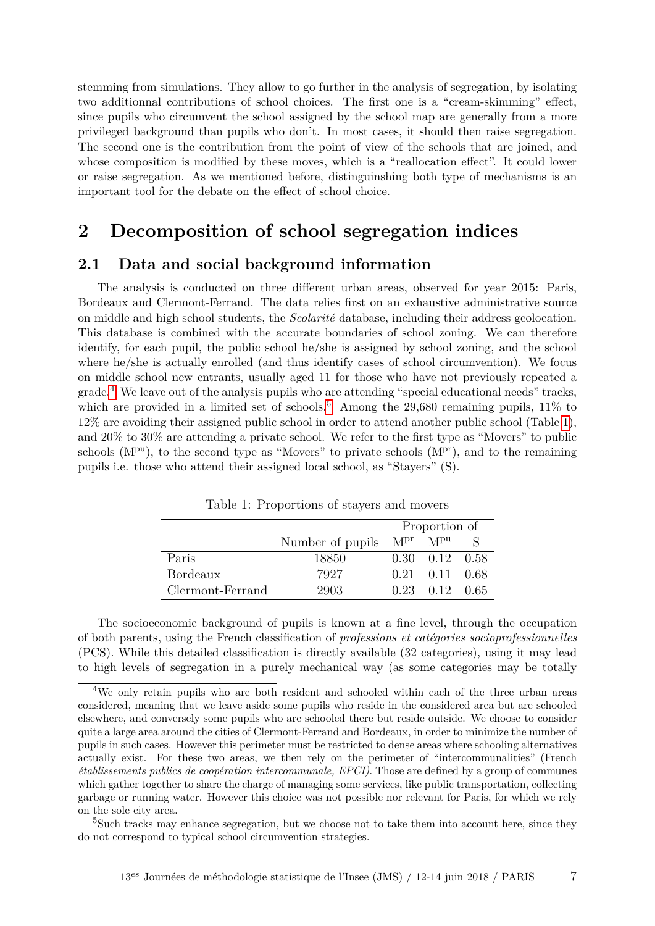stemming from simulations. They allow to go further in the analysis of segregation, by isolating two additionnal contributions of school choices. The first one is a "cream-skimming" effect, since pupils who circumvent the school assigned by the school map are generally from a more privileged background than pupils who don't. In most cases, it should then raise segregation. The second one is the contribution from the point of view of the schools that are joined, and whose composition is modified by these moves, which is a "reallocation effect". It could lower or raise segregation. As we mentioned before, distinguinshing both type of mechanisms is an important tool for the debate on the effect of school choice.

### **2 Decomposition of school segregation indices**

#### **2.1 Data and social background information**

The analysis is conducted on three different urban areas, observed for year 2015: Paris, Bordeaux and Clermont-Ferrand. The data relies first on an exhaustive administrative source on middle and high school students, the *Scolarité* database, including their address geolocation. This database is combined with the accurate boundaries of school zoning. We can therefore identify, for each pupil, the public school he/she is assigned by school zoning, and the school where he/she is actually enrolled (and thus identify cases of school circumvention). We focus on middle school new entrants, usually aged 11 for those who have not previously repeated a grade.[4](#page-0-0) We leave out of the analysis pupils who are attending "special educational needs" tracks, which are provided in a limited set of schools.<sup>[5](#page-0-0)</sup> Among the  $29,680$  remaining pupils,  $11\%$  to 12% are avoiding their assigned public school in order to attend another public school (Table [1\)](#page-6-0), and 20% to 30% are attending a private school. We refer to the first type as "Movers" to public schools  $(M<sup>pu</sup>)$ , to the second type as "Movers" to private schools  $(M<sup>pr</sup>)$ , and to the remaining pupils i.e. those who attend their assigned local school, as "Stayers" (S).

<span id="page-6-0"></span>

|                  |                  | Proportion of   |                              |  |
|------------------|------------------|-----------------|------------------------------|--|
|                  | Number of pupils | M <sup>pr</sup> | M <sup>pu</sup>              |  |
| Paris            | 18850            |                 | $0.30 \quad 0.12 \quad 0.58$ |  |
| <b>Bordeaux</b>  | 7927             |                 | $0.21$ $0.11$ $0.68$         |  |
| Clermont-Ferrand | 2903             |                 | 0.23 0.12 0.65               |  |

Table 1: Proportions of stayers and movers

The socioeconomic background of pupils is known at a fine level, through the occupation of both parents, using the French classification of *professions et catégories socioprofessionnelles* (PCS). While this detailed classification is directly available (32 categories), using it may lead to high levels of segregation in a purely mechanical way (as some categories may be totally

<sup>4</sup>We only retain pupils who are both resident and schooled within each of the three urban areas considered, meaning that we leave aside some pupils who reside in the considered area but are schooled elsewhere, and conversely some pupils who are schooled there but reside outside. We choose to consider quite a large area around the cities of Clermont-Ferrand and Bordeaux, in order to minimize the number of pupils in such cases. However this perimeter must be restricted to dense areas where schooling alternatives actually exist. For these two areas, we then rely on the perimeter of "intercommunalities" (French *établissements publics de coopération intercommunale, EPCI)*. Those are defined by a group of communes which gather together to share the charge of managing some services, like public transportation, collecting garbage or running water. However this choice was not possible nor relevant for Paris, for which we rely on the sole city area.

<sup>&</sup>lt;sup>5</sup>Such tracks may enhance segregation, but we choose not to take them into account here, since they do not correspond to typical school circumvention strategies.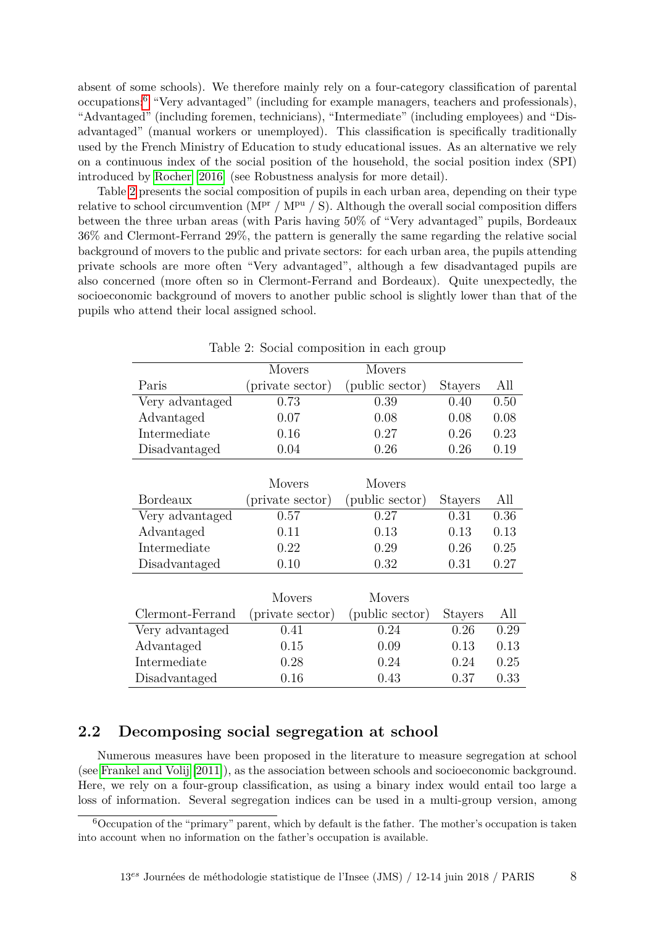absent of some schools). We therefore mainly rely on a four-category classification of parental occupations:[6](#page-0-0) "Very advantaged" (including for example managers, teachers and professionals), "Advantaged" (including foremen, technicians), "Intermediate" (including employees) and "Disadvantaged" (manual workers or unemployed). This classification is specifically traditionally used by the French Ministry of Education to study educational issues. As an alternative we rely on a continuous index of the social position of the household, the social position index (SPI) introduced by [Rocher](#page-16-4) [\[2016\]](#page-16-4) (see Robustness analysis for more detail).

Table [2](#page-7-0) presents the social composition of pupils in each urban area, depending on their type relative to school circumvention ( $M^{\text{pr}}$  /  $M^{\text{pu}}$  / S). Although the overall social composition differs between the three urban areas (with Paris having 50% of "Very advantaged" pupils, Bordeaux 36% and Clermont-Ferrand 29%, the pattern is generally the same regarding the relative social background of movers to the public and private sectors: for each urban area, the pupils attending private schools are more often "Very advantaged", although a few disadvantaged pupils are also concerned (more often so in Clermont-Ferrand and Bordeaux). Quite unexpectedly, the socioeconomic background of movers to another public school is slightly lower than that of the pupils who attend their local assigned school.

<span id="page-7-0"></span>

|                  | <b>Movers</b>    | <b>Movers</b>   |                |      |
|------------------|------------------|-----------------|----------------|------|
| Paris            | (private sector) | (public sector) | <b>Stayers</b> | All  |
| Very advantaged  | 0.73             | 0.39            | 0.40           | 0.50 |
| Advantaged       | 0.07             | 0.08            | 0.08           | 0.08 |
| Intermediate     | 0.16             | 0.27            | 0.26           | 0.23 |
| Disadvantaged    | 0.04             | 0.26            | 0.26           | 0.19 |
|                  |                  |                 |                |      |
|                  | <b>Movers</b>    | <b>Movers</b>   |                |      |
| <b>Bordeaux</b>  | (private sector) | (public sector) | Stayers        | All  |
| Very advantaged  | 0.57             | 0.27            | 0.31           | 0.36 |
| Advantaged       | 0.11             | 0.13            | 0.13           | 0.13 |
| Intermediate     | 0.22             | 0.29            | 0.26           | 0.25 |
| Disadvantaged    | 0.10             | 0.32            | 0.31           | 0.27 |
|                  |                  |                 |                |      |
|                  | <b>Movers</b>    | <b>Movers</b>   |                |      |
| Clermont-Ferrand | (private sector) | (public sector) | <b>Stayers</b> | All  |
| Very advantaged  | 0.41             | 0.24            | 0.26           | 0.29 |
| Advantaged       | 0.15             | 0.09            | 0.13           | 0.13 |
| Intermediate     | 0.28             | 0.24            | 0.24           | 0.25 |
| Disadvantaged    | 0.16             | 0.43            | 0.37           | 0.33 |

Table 2: Social composition in each group

#### **2.2 Decomposing social segregation at school**

Numerous measures have been proposed in the literature to measure segregation at school (see [Frankel and Volij](#page-15-13) [\[2011\]](#page-15-13)), as the association between schools and socioeconomic background. Here, we rely on a four-group classification, as using a binary index would entail too large a loss of information. Several segregation indices can be used in a multi-group version, among

 $6$ Occupation of the "primary" parent, which by default is the father. The mother's occupation is taken into account when no information on the father's occupation is available.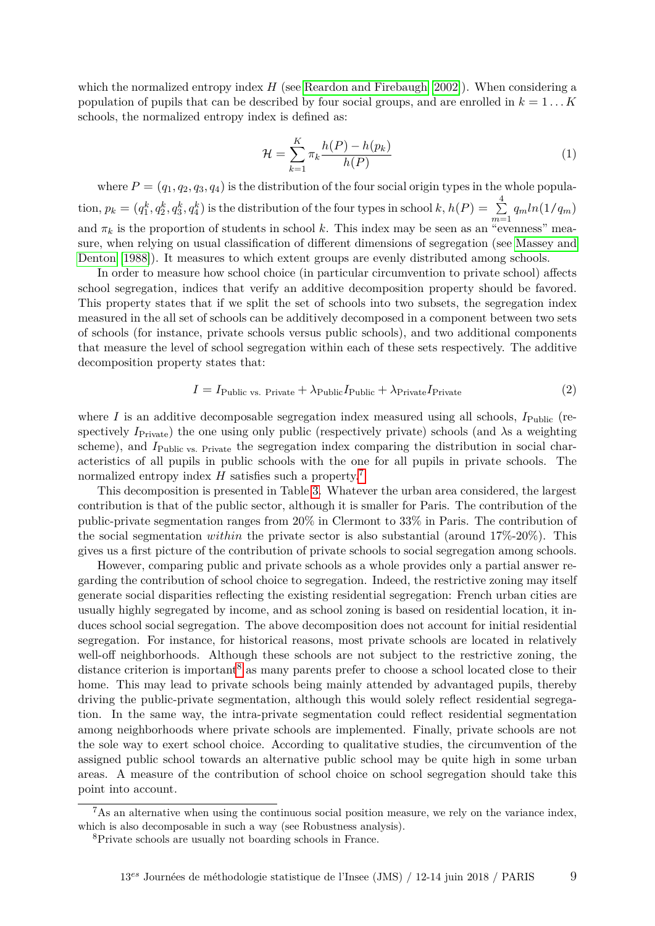which the normalized entropy index  $H$  (see [Reardon and Firebaugh](#page-16-5) [\[2002\]](#page-16-5)). When considering a population of pupils that can be described by four social groups, and are enrolled in *k* = 1 *. . . K* schools, the normalized entropy index is defined as:

$$
\mathcal{H} = \sum_{k=1}^{K} \pi_k \frac{h(P) - h(p_k)}{h(P)} \tag{1}
$$

where  $P = (q_1, q_2, q_3, q_4)$  is the distribution of the four social origin types in the whole popula- $\phi$  tion,  $p_k = (q_1^k, q_2^k, q_3^k, q_4^k)$  is the distribution of the four types in school  $k, h(P) = \sum_{k=1}^4 p_k^k$  $\sum_{m=1}^{n} q_m ln(1/q_m)$ and  $\pi_k$  is the proportion of students in school k. This index may be seen as an "evenness" measure, when relying on usual classification of different dimensions of segregation (see [Massey and](#page-15-14) [Denton](#page-15-14) [\[1988\]](#page-15-14)). It measures to which extent groups are evenly distributed among schools.

In order to measure how school choice (in particular circumvention to private school) affects school segregation, indices that verify an additive decomposition property should be favored. This property states that if we split the set of schools into two subsets, the segregation index measured in the all set of schools can be additively decomposed in a component between two sets of schools (for instance, private schools versus public schools), and two additional components that measure the level of school segregation within each of these sets respectively. The additive decomposition property states that:

$$
I = I_{\text{Public vs. Private}} + \lambda_{\text{Public}} I_{\text{Public}} + \lambda_{\text{Private}} I_{\text{Private}}
$$
\n
$$
\tag{2}
$$

where *I* is an additive decomposable segregation index measured using all schools,  $I_{\text{Public}}$  (respectively  $I_{\text{Private}}$ ) the one using only public (respectively private) schools (and  $\lambda$ s a weighting scheme), and  $I_{\text{Public vs. Private}}$  the segregation index comparing the distribution in social characteristics of all pupils in public schools with the one for all pupils in private schools. The normalized entropy index *H* satisfies such a property.<sup>[7](#page-0-0)</sup>

This decomposition is presented in Table [3.](#page-9-0) Whatever the urban area considered, the largest contribution is that of the public sector, although it is smaller for Paris. The contribution of the public-private segmentation ranges from 20% in Clermont to 33% in Paris. The contribution of the social segmentation *within* the private sector is also substantial (around 17%-20%). This gives us a first picture of the contribution of private schools to social segregation among schools.

However, comparing public and private schools as a whole provides only a partial answer regarding the contribution of school choice to segregation. Indeed, the restrictive zoning may itself generate social disparities reflecting the existing residential segregation: French urban cities are usually highly segregated by income, and as school zoning is based on residential location, it induces school social segregation. The above decomposition does not account for initial residential segregation. For instance, for historical reasons, most private schools are located in relatively well-off neighborhoods. Although these schools are not subject to the restrictive zoning, the distance criterion is important<sup>[8](#page-0-0)</sup> as many parents prefer to choose a school located close to their home. This may lead to private schools being mainly attended by advantaged pupils, thereby driving the public-private segmentation, although this would solely reflect residential segregation. In the same way, the intra-private segmentation could reflect residential segmentation among neighborhoods where private schools are implemented. Finally, private schools are not the sole way to exert school choice. According to qualitative studies, the circumvention of the assigned public school towards an alternative public school may be quite high in some urban areas. A measure of the contribution of school choice on school segregation should take this point into account.

 $^7$ As an alternative when using the continuous social position measure, we rely on the variance index. which is also decomposable in such a way (see Robustness analysis).

<sup>8</sup>Private schools are usually not boarding schools in France.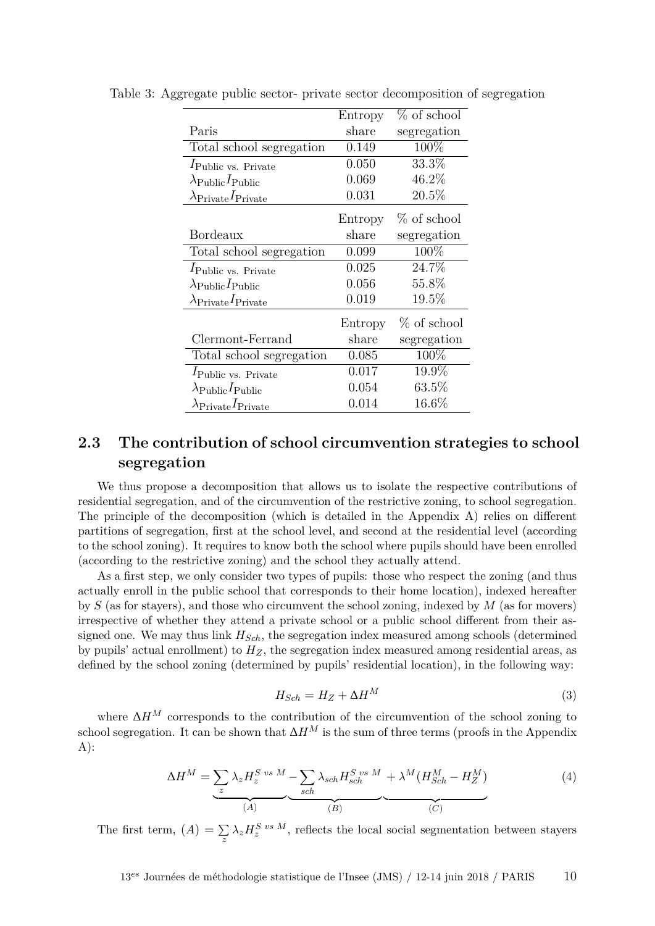|                                                 | Entropy | $%$ of school |
|-------------------------------------------------|---------|---------------|
| Paris                                           | share   | segregation   |
| Total school segregation                        | 0.149   | 100\%         |
| $I_{\text{Public vs. Private}}$                 | 0.050   | 33.3%         |
| $\lambda_{\mathrm{Public}} I_{\mathrm{Public}}$ | 0.069   | 46.2%         |
| $\lambda_{\text{Private}}I_{\text{Private}}$    | 0.031   | 20.5%         |
|                                                 | Entropy | % of school   |
| Bordeaux                                        | share   | segregation   |
| Total school segregation                        | 0.099   | 100\%         |
| $I_{\rm Public\ vs. \ Private}$                 | 0.025   | 24.7%         |
| $\lambda_{\mathrm{Public}}I_{\mathrm{Public}}$  | 0.056   | 55.8%         |
| $\lambda_{\text{Private}}I_{\text{Private}}$    | 0.019   | 19.5%         |
|                                                 | Entropy | $%$ of school |
| Clermont-Ferrand                                | share   | segregation   |
| Total school segregation                        | 0.085   | 100%          |
| $I_{\text{Public vs. Private}}$                 | 0.017   | 19.9%         |
| $\lambda_{\mathrm{Public}}I_{\mathrm{Public}}$  | 0.054   | $63.5\%$      |
| $\lambda$ Private I Private                     | 0.014   | $16.6\%$      |

<span id="page-9-0"></span>Table 3: Aggregate public sector- private sector decomposition of segregation

### **2.3 The contribution of school circumvention strategies to school segregation**

We thus propose a decomposition that allows us to isolate the respective contributions of residential segregation, and of the circumvention of the restrictive zoning, to school segregation. The principle of the decomposition (which is detailed in the Appendix A) relies on different partitions of segregation, first at the school level, and second at the residential level (according to the school zoning). It requires to know both the school where pupils should have been enrolled (according to the restrictive zoning) and the school they actually attend.

As a first step, we only consider two types of pupils: those who respect the zoning (and thus actually enroll in the public school that corresponds to their home location), indexed hereafter by *S* (as for stayers), and those who circumvent the school zoning, indexed by *M* (as for movers) irrespective of whether they attend a private school or a public school different from their assigned one. We may thus link *HSch*, the segregation index measured among schools (determined by pupils' actual enrollment) to  $H_Z$ , the segregation index measured among residential areas, as defined by the school zoning (determined by pupils' residential location), in the following way:

$$
H_{Sch} = H_Z + \Delta H^M \tag{3}
$$

where ∆*H<sup>M</sup>* corresponds to the contribution of the circumvention of the school zoning to school segregation. It can be shown that  $\Delta H^M$  is the sum of three terms (proofs in the Appendix  $A)$ :

<span id="page-9-1"></span>
$$
\Delta H^M = \underbrace{\sum_{z} \lambda_z H_z^{S \text{ vs } M} - \sum_{sch} \lambda_{sch} H_{sch}^{S \text{ vs } M} + \lambda^M (H_{Sch}^M - H_Z^M)}_{(A)} \underbrace{(4)}
$$

The first term,  $(A) = \sum_{z} \lambda_z H_z^{S \text{ vs } M}$ , reflects the local social segmentation between stayers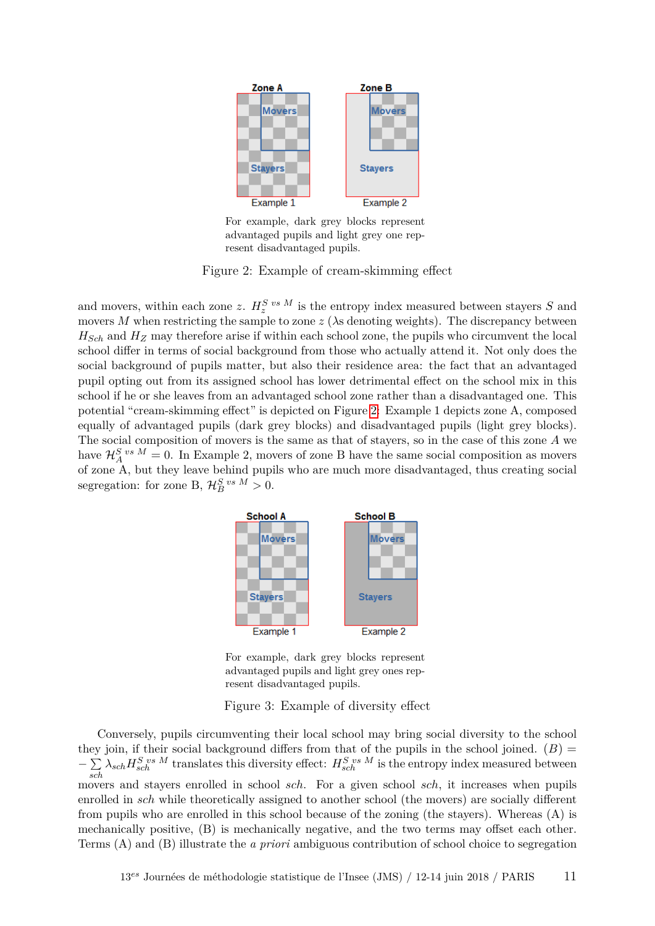

<span id="page-10-0"></span>For example, dark grey blocks represent advantaged pupils and light grey one represent disadvantaged pupils.

Figure 2: Example of cream-skimming effect

and movers, within each zone *z*.  $H_z^S$ <sup>*vs M*</sup> is the entropy index measured between stayers *S* and movers *M* when restricting the sample to zone  $z$  ( $\lambda$ s denoting weights). The discrepancy between *HSch* and *H<sup>Z</sup>* may therefore arise if within each school zone, the pupils who circumvent the local school differ in terms of social background from those who actually attend it. Not only does the social background of pupils matter, but also their residence area: the fact that an advantaged pupil opting out from its assigned school has lower detrimental effect on the school mix in this school if he or she leaves from an advantaged school zone rather than a disadvantaged one. This potential "cream-skimming effect" is depicted on Figure [2:](#page-10-0) Example 1 depicts zone A, composed equally of advantaged pupils (dark grey blocks) and disadvantaged pupils (light grey blocks). The social composition of movers is the same as that of stayers, so in the case of this zone *A* we have  $\mathcal{H}_{A}^{S \text{ vs } M} = 0$ . In Example 2, movers of zone B have the same social composition as movers of zone A, but they leave behind pupils who are much more disadvantaged, thus creating social segregation: for zone B,  $\mathcal{H}_{B}^{S}{}^{vs}{}^{M} > 0$ .



<span id="page-10-1"></span>For example, dark grey blocks represent advantaged pupils and light grey ones represent disadvantaged pupils.

Figure 3: Example of diversity effect

Conversely, pupils circumventing their local school may bring social diversity to the school they join, if their social background differs from that of the pupils in the school joined. (*B*) = −∑  $\sum_{sch} \lambda_{sch} H_{sch}^{S \text{ vs } M}$  translates this diversity effect:  $H_{sch}^{S \text{ vs } M}$  is the entropy index measured between movers and stayers enrolled in school *sch*. For a given school *sch*, it increases when pupils enrolled in *sch* while theoretically assigned to another school (the movers) are socially different from pupils who are enrolled in this school because of the zoning (the stayers). Whereas (A) is mechanically positive, (B) is mechanically negative, and the two terms may offset each other. Terms (A) and (B) illustrate the *a priori* ambiguous contribution of school choice to segregation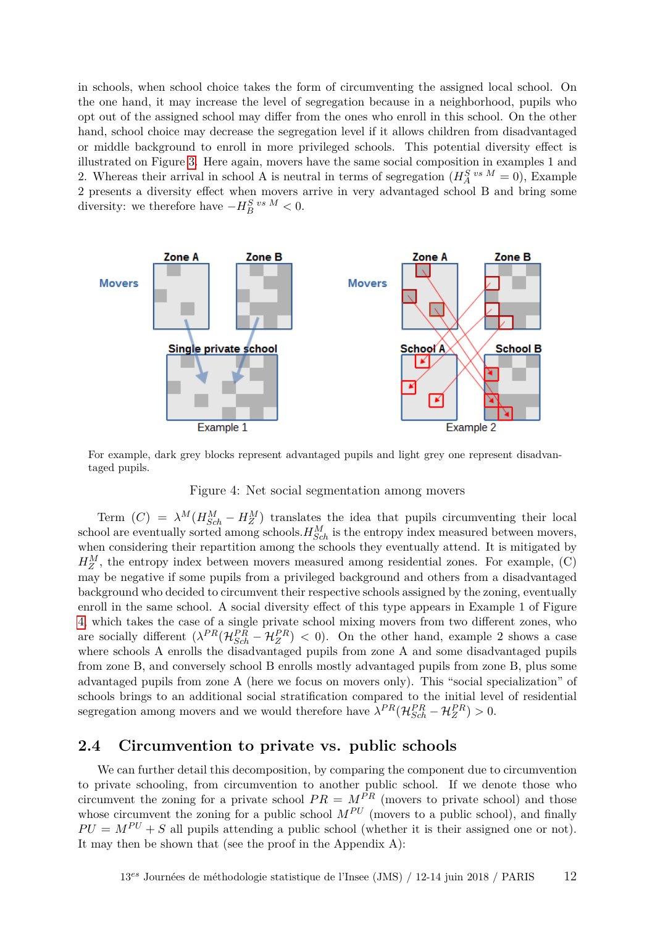in schools, when school choice takes the form of circumventing the assigned local school. On the one hand, it may increase the level of segregation because in a neighborhood, pupils who opt out of the assigned school may differ from the ones who enroll in this school. On the other hand, school choice may decrease the segregation level if it allows children from disadvantaged or middle background to enroll in more privileged schools. This potential diversity effect is illustrated on Figure [3.](#page-10-1) Here again, movers have the same social composition in examples 1 and 2. Whereas their arrival in school A is neutral in terms of segregation  $(H_A^S)^{vs} M = 0$ , Example 2 presents a diversity effect when movers arrive in very advantaged school B and bring some diversity: we therefore have  $-H_B^S$ <sup>*vs M*</sup> < 0.



For example, dark grey blocks represent advantaged pupils and light grey one represent disadvantaged pupils.

#### <span id="page-11-0"></span>Figure 4: Net social segmentation among movers

Term  $(C) = \lambda^M (H_{Sch}^M - H_Z^M)$  translates the idea that pupils circumventing their local school are eventually sorted among schools. $H_{Sch}^M$  is the entropy index measured between movers, when considering their repartition among the schools they eventually attend. It is mitigated by  $H_Z^M$ , the entropy index between movers measured among residential zones. For example,  $(C)$ may be negative if some pupils from a privileged background and others from a disadvantaged background who decided to circumvent their respective schools assigned by the zoning, eventually enroll in the same school. A social diversity effect of this type appears in Example 1 of Figure [4,](#page-11-0) which takes the case of a single private school mixing movers from two different zones, who are socially different  $(\lambda^{PR}(\mathcal{H}_{Sch}^{PR} - \mathcal{H}_{Z}^{PR}) < 0)$ . On the other hand, example 2 shows a case where schools A enrolls the disadvantaged pupils from zone A and some disadvantaged pupils from zone B, and conversely school B enrolls mostly advantaged pupils from zone B, plus some advantaged pupils from zone A (here we focus on movers only). This "social specialization" of schools brings to an additional social stratification compared to the initial level of residential segregation among movers and we would therefore have  $\lambda^{PR}(\mathcal{H}_{Sch}^{PR} - \mathcal{H}_{Z}^{PR}) > 0$ .

#### **2.4 Circumvention to private vs. public schools**

We can further detail this decomposition, by comparing the component due to circumvention to private schooling, from circumvention to another public school. If we denote those who circumvent the zoning for a private school  $PR = M^{\tilde{P}R}$  (movers to private school) and those whose circumvent the zoning for a public school  $M^{PU}$  (movers to a public school), and finally  $PU = M^{PU} + S$  all pupils attending a public school (whether it is their assigned one or not). It may then be shown that (see the proof in the Appendix A):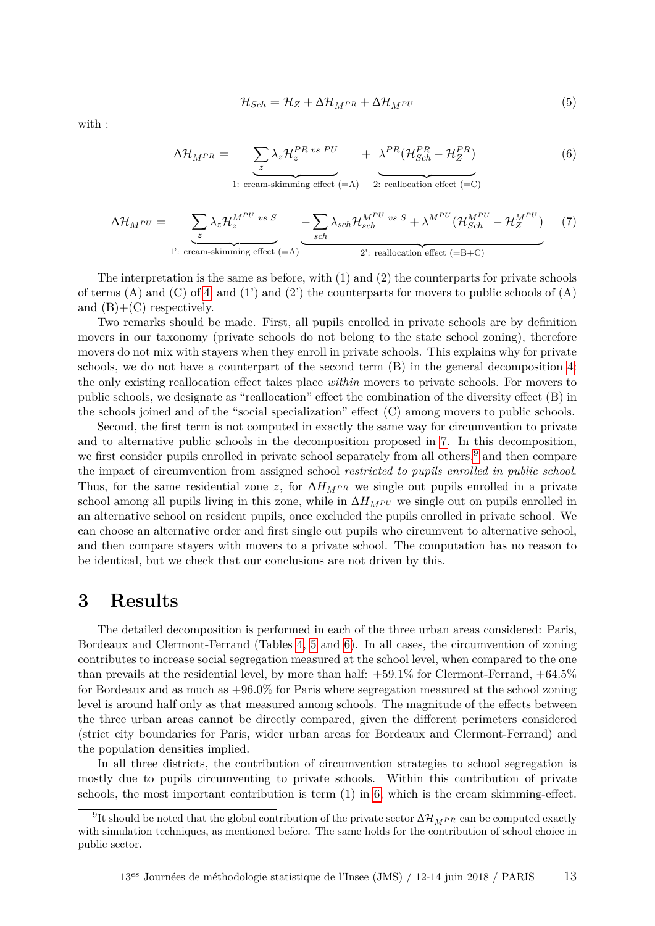$$
\mathcal{H}_{Sch} = \mathcal{H}_Z + \Delta \mathcal{H}_{M^{PR}} + \Delta \mathcal{H}_{M^{PU}} \tag{5}
$$

with :

<span id="page-12-1"></span>
$$
\Delta \mathcal{H}_{MPR} = \underbrace{\sum_{z} \lambda_{z} \mathcal{H}_{z}^{PR \text{ vs } PU}}_{1: \text{ cream-skimming effect (=A)}} + \underbrace{\lambda^{PR} (\mathcal{H}_{Sch}^{PR} - \mathcal{H}_{Z}^{PR})}_{2: \text{ reallocation effect (=C)}}
$$
(6)

<span id="page-12-0"></span>
$$
\Delta \mathcal{H}_{M^{PU}} = \sum_{z} \lambda_{z} \mathcal{H}_{z}^{M^{PU} \text{ vs } S} - \sum_{sch} \lambda_{sch} \mathcal{H}_{sch}^{M^{PU} \text{ vs } S} + \lambda^{M^{PU}} (\mathcal{H}_{Sch}^{M^{PU}} - \mathcal{H}_{Z}^{M^{PU}})
$$
\n<sup>1</sup>: cream-skimming effect (=A)

The interpretation is the same as before, with  $(1)$  and  $(2)$  the counterparts for private schools of terms (A) and (C) of [4;](#page-9-1) and (1') and (2') the counterparts for movers to public schools of (A) and  $(B)+(C)$  respectively.

Two remarks should be made. First, all pupils enrolled in private schools are by definition movers in our taxonomy (private schools do not belong to the state school zoning), therefore movers do not mix with stayers when they enroll in private schools. This explains why for private schools, we do not have a counterpart of the second term (B) in the general decomposition [4:](#page-9-1) the only existing reallocation effect takes place *within* movers to private schools. For movers to public schools, we designate as "reallocation" effect the combination of the diversity effect (B) in the schools joined and of the "social specialization" effect (C) among movers to public schools.

Second, the first term is not computed in exactly the same way for circumvention to private and to alternative public schools in the decomposition proposed in [7.](#page-12-0) In this decomposition, we first consider pupils enrolled in private school separately from all others,<sup>[9](#page-0-0)</sup> and then compare the impact of circumvention from assigned school *restricted to pupils enrolled in public school*. Thus, for the same residential zone *z*, for  $\Delta H_{MPR}$  we single out pupils enrolled in a private school among all pupils living in this zone, while in  $\Delta H_{M}$ *PU* we single out on pupils enrolled in an alternative school on resident pupils, once excluded the pupils enrolled in private school. We can choose an alternative order and first single out pupils who circumvent to alternative school, and then compare stayers with movers to a private school. The computation has no reason to be identical, but we check that our conclusions are not driven by this.

### **3 Results**

The detailed decomposition is performed in each of the three urban areas considered: Paris, Bordeaux and Clermont-Ferrand (Tables [4,](#page-13-0) [5](#page-13-1) and [6\)](#page-14-0). In all cases, the circumvention of zoning contributes to increase social segregation measured at the school level, when compared to the one than prevails at the residential level, by more than half:  $+59.1\%$  for Clermont-Ferrand,  $+64.5\%$ for Bordeaux and as much as +96.0% for Paris where segregation measured at the school zoning level is around half only as that measured among schools. The magnitude of the effects between the three urban areas cannot be directly compared, given the different perimeters considered (strict city boundaries for Paris, wider urban areas for Bordeaux and Clermont-Ferrand) and the population densities implied.

In all three districts, the contribution of circumvention strategies to school segregation is mostly due to pupils circumventing to private schools. Within this contribution of private schools, the most important contribution is term (1) in [6,](#page-12-1) which is the cream skimming-effect.

 $^{9}$ It should be noted that the global contribution of the private sector  $\Delta \mathcal{H}_{MPR}$  can be computed exactly with simulation techniques, as mentioned before. The same holds for the contribution of school choice in public sector.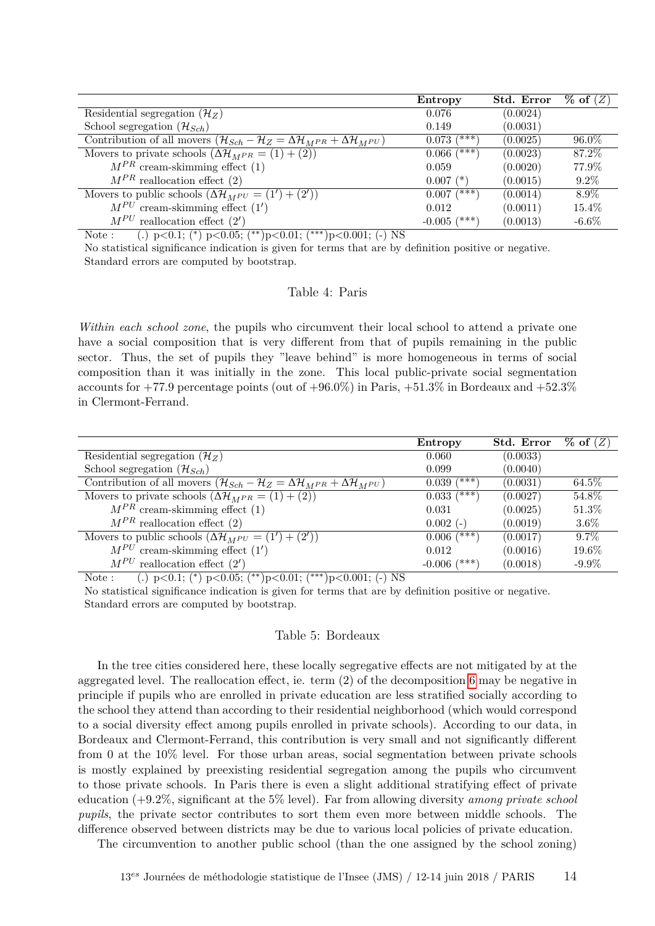|                                                                                                                          | Entropy          | Std. Error | $\%$ of $(Z)$ |
|--------------------------------------------------------------------------------------------------------------------------|------------------|------------|---------------|
| Residential segregation $(\mathcal{H}_Z)$                                                                                | 0.076            | (0.0024)   |               |
| School segregation $(\mathcal{H}_{Sch})$                                                                                 | 0.149            | (0.0031)   |               |
| Contribution of all movers $(\mathcal{H}_{Sch} - \mathcal{H}_{Z} = \Delta \mathcal{H}_{MPR} + \Delta \mathcal{H}_{MPU})$ | (***`<br>0.073   | (0.0025)   | $96.0\%$      |
| Movers to private schools $(\Delta \mathcal{H}_{MPR} = (1) + (2))$                                                       | $0.066~(^{2+1})$ | (0.0023)   | 87.2%         |
| $M^{PR}$ cream-skimming effect (1)                                                                                       | 0.059            | (0.0020)   | 77.9%         |
| $M^{PR}$ reallocation effect (2)                                                                                         | $0.007$ $(*)$    | (0.0015)   | $9.2\%$       |
| Movers to public schools $(\Delta \mathcal{H}_{MPU} = (1') + (2'))$                                                      | $(***)$<br>0.007 | (0.0014)   | $8.9\%$       |
| $M^{PU}$ cream-skimming effect $(1')$                                                                                    | 0.012            | (0.0011)   | $15.4\%$      |
| $M^{PU}$ reallocation effect $(2')$                                                                                      | $-0.005$ (***)   | (0.0013)   | $-6.6\%$      |

Note : (.) p*<*0.1; (<sup>∗</sup> ) p*<*0.05; (∗∗)p*<*0.01; (∗∗∗)p*<*0.001; (-) NS

<span id="page-13-0"></span>No statistical significance indication is given for terms that are by definition positive or negative. Standard errors are computed by bootstrap.

#### Table 4: Paris

*Within each school zone*, the pupils who circumvent their local school to attend a private one have a social composition that is very different from that of pupils remaining in the public sector. Thus, the set of pupils they "leave behind" is more homogeneous in terms of social composition than it was initially in the zone. This local public-private social segmentation accounts for  $+77.9$  percentage points (out of  $+96.0\%$ ) in Paris,  $+51.3\%$  in Bordeaux and  $+52.3\%$ in Clermont-Ferrand.

|                                                                                                                                                                                                                                                                                    | Entropy                | Std. Error | $\%$ of $(Z)$ |
|------------------------------------------------------------------------------------------------------------------------------------------------------------------------------------------------------------------------------------------------------------------------------------|------------------------|------------|---------------|
| Residential segregation $(\mathcal{H}_Z)$                                                                                                                                                                                                                                          | 0.060                  | (0.0033)   |               |
| School segregation $(\mathcal{H}_{Sch})$                                                                                                                                                                                                                                           | 0.099                  | (0.0040)   |               |
| Contribution of all movers $(\mathcal{H}_{Sch} - \mathcal{H}_{Z} = \Delta \mathcal{H}_{MPR} + \Delta \mathcal{H}_{MPU})$                                                                                                                                                           | /***<br>0.039          | (0.0031)   | 64.5%         |
| Movers to private schools $(\Delta \mathcal{H}_{MPR} = (1) + (2))$                                                                                                                                                                                                                 | $0.033 \overline{(*)}$ | (0.0027)   | 54.8%         |
| $M^{PR}$ cream-skimming effect (1)                                                                                                                                                                                                                                                 | 0.031                  | (0.0025)   | 51.3%         |
| $M^{PR}$ reallocation effect (2)                                                                                                                                                                                                                                                   | $0.002(-)$             | (0.0019)   | $3.6\%$       |
| Movers to public schools $(\Delta \mathcal{H}_{MPU} = (1') + (2'))$                                                                                                                                                                                                                | $0.006$ $(***)$        | (0.0017)   | $9.7\%$       |
| $M^{PU}$ cream-skimming effect $(1')$                                                                                                                                                                                                                                              | 0.012                  | (0.0016)   | $19.6\%$      |
| $M^{PU}$ reallocation effect $(2')$<br>the state of the state of the state of the state of the state of the state of the state of the state of the state of the state of the state of the state of the state of the state of the state of the state of the state of t<br>--------- | /***<br>$-0.006$       | (0.0018)   | $-9.9\%$      |

Note : (.) p*<*0.1; (<sup>∗</sup> ) p*<*0.05; (∗∗)p*<*0.01; (∗∗∗)p*<*0.001; (-) NS

<span id="page-13-1"></span>No statistical significance indication is given for terms that are by definition positive or negative. Standard errors are computed by bootstrap.

#### Table 5: Bordeaux

In the tree cities considered here, these locally segregative effects are not mitigated by at the aggregated level. The reallocation effect, ie. term (2) of the decomposition [6](#page-12-1) may be negative in principle if pupils who are enrolled in private education are less stratified socially according to the school they attend than according to their residential neighborhood (which would correspond to a social diversity effect among pupils enrolled in private schools). According to our data, in Bordeaux and Clermont-Ferrand, this contribution is very small and not significantly different from 0 at the 10% level. For those urban areas, social segmentation between private schools is mostly explained by preexisting residential segregation among the pupils who circumvent to those private schools. In Paris there is even a slight additional stratifying effect of private education (+9.2%, significant at the 5% level). Far from allowing diversity *among private school pupils*, the private sector contributes to sort them even more between middle schools. The difference observed between districts may be due to various local policies of private education.

The circumvention to another public school (than the one assigned by the school zoning)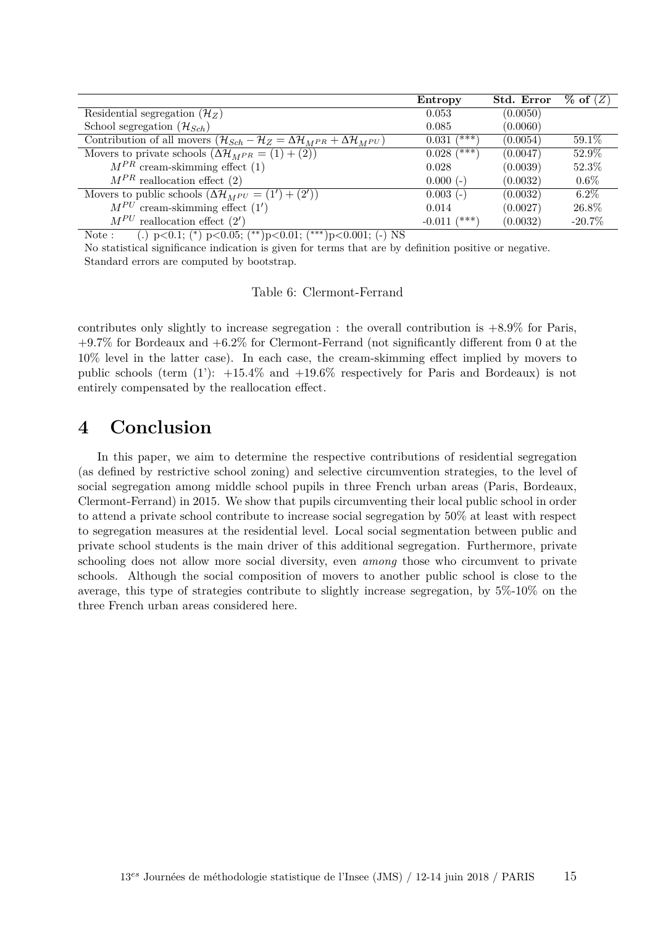|                                                                                                                          | Entropy           | Std. Error | $\%$ of $(Z)$ |
|--------------------------------------------------------------------------------------------------------------------------|-------------------|------------|---------------|
| Residential segregation $(\mathcal{H}_Z)$                                                                                | 0.053             | (0.0050)   |               |
| School segregation $(\mathcal{H}_{Sch})$                                                                                 | 0.085             | (0.0060)   |               |
| Contribution of all movers $(\mathcal{H}_{Sch} - \mathcal{H}_{Z} = \Delta \mathcal{H}_{MPR} + \Delta \mathcal{H}_{MPU})$ | /***`<br>0.031    | (0.0054)   | $59.1\%$      |
| Movers to private schools $(\Delta \mathcal{H}_{MPR} = (1) + (2))$                                                       | (***)<br>0.028    | (0.0047)   | 52.9%         |
| $M^{PR}$ cream-skimming effect (1)                                                                                       | 0.028             | (0.0039)   | 52.3%         |
| $M^{PR}$ reallocation effect (2)                                                                                         | $0.000(-)$        | (0.0032)   | $0.6\%$       |
| Movers to public schools $(\Delta \mathcal{H}_{MPU} = (1') + (2'))$                                                      | $0.003(-)$        | (0.0032)   | $6.2\%$       |
| $M^{PU}$ cream-skimming effect $(1')$                                                                                    | 0.014             | (0.0027)   | 26.8%         |
| $M^{PU}$<br>reallocation effect $(2')$                                                                                   | (***`<br>$-0.011$ | (0.0032)   | $-20.7\%$     |

Note : (.) p*<*0.1; (<sup>∗</sup> ) p*<*0.05; (∗∗)p*<*0.01; (∗∗∗)p*<*0.001; (-) NS

<span id="page-14-0"></span>No statistical significance indication is given for terms that are by definition positive or negative. Standard errors are computed by bootstrap.

#### Table 6: Clermont-Ferrand

contributes only slightly to increase segregation : the overall contribution is  $+8.9\%$  for Paris,  $+9.7\%$  for Bordeaux and  $+6.2\%$  for Clermont-Ferrand (not significantly different from 0 at the 10% level in the latter case). In each case, the cream-skimming effect implied by movers to public schools (term  $(1')$ :  $+15.4\%$  and  $+19.6\%$  respectively for Paris and Bordeaux) is not entirely compensated by the reallocation effect.

### **4 Conclusion**

In this paper, we aim to determine the respective contributions of residential segregation (as defined by restrictive school zoning) and selective circumvention strategies, to the level of social segregation among middle school pupils in three French urban areas (Paris, Bordeaux, Clermont-Ferrand) in 2015. We show that pupils circumventing their local public school in order to attend a private school contribute to increase social segregation by 50% at least with respect to segregation measures at the residential level. Local social segmentation between public and private school students is the main driver of this additional segregation. Furthermore, private schooling does not allow more social diversity, even *among* those who circumvent to private schools. Although the social composition of movers to another public school is close to the average, this type of strategies contribute to slightly increase segregation, by 5%-10% on the three French urban areas considered here.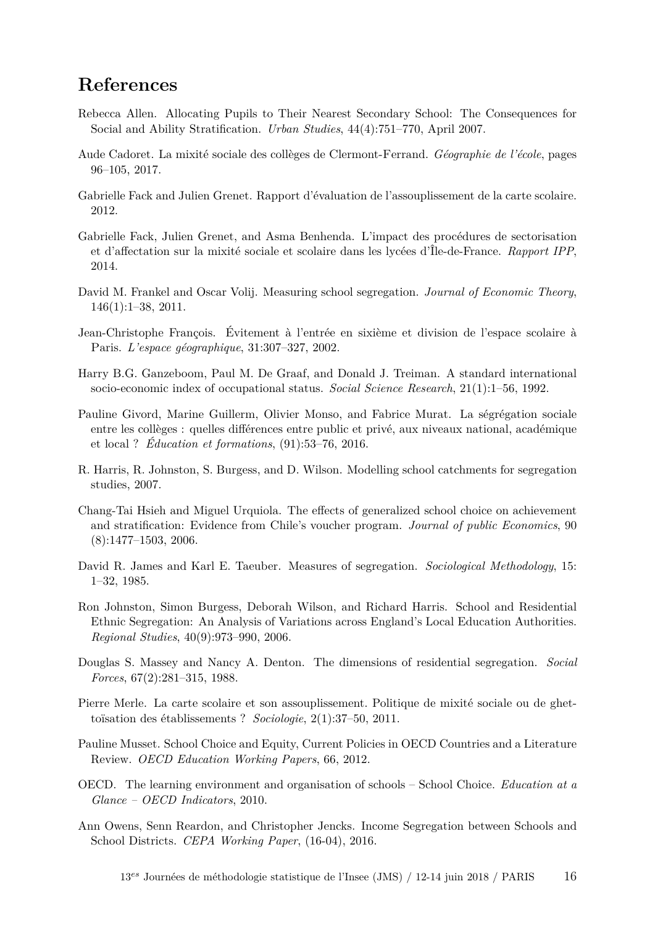# **References**

- <span id="page-15-8"></span>Rebecca Allen. Allocating Pupils to Their Nearest Secondary School: The Consequences for Social and Ability Stratification. *Urban Studies*, 44(4):751–770, April 2007.
- <span id="page-15-12"></span>Aude Cadoret. La mixité sociale des collèges de Clermont-Ferrand. *Géographie de l'école*, pages 96–105, 2017.
- <span id="page-15-5"></span>Gabrielle Fack and Julien Grenet. Rapport d'évaluation de l'assouplissement de la carte scolaire. 2012.
- <span id="page-15-3"></span>Gabrielle Fack, Julien Grenet, and Asma Benhenda. L'impact des procédures de sectorisation et d'affectation sur la mixité sociale et scolaire dans les lycées d'Île-de-France. *Rapport IPP*, 2014.
- <span id="page-15-13"></span>David M. Frankel and Oscar Volij. Measuring school segregation. *Journal of Economic Theory*, 146(1):1–38, 2011.
- <span id="page-15-11"></span>Jean-Christophe François. Évitement à l'entrée en sixième et division de l'espace scolaire à Paris. *L'espace géographique*, 31:307–327, 2002.
- <span id="page-15-15"></span>Harry B.G. Ganzeboom, Paul M. De Graaf, and Donald J. Treiman. A standard international socio-economic index of occupational status. *Social Science Research*, 21(1):1–56, 1992.
- <span id="page-15-2"></span>Pauline Givord, Marine Guillerm, Olivier Monso, and Fabrice Murat. La ségrégation sociale entre les collèges : quelles différences entre public et privé, aux niveaux national, académique et local ? *Éducation et formations*, (91):53–76, 2016.
- <span id="page-15-10"></span>R. Harris, R. Johnston, S. Burgess, and D. Wilson. Modelling school catchments for segregation studies, 2007.
- <span id="page-15-7"></span>Chang-Tai Hsieh and Miguel Urquiola. The effects of generalized school choice on achievement and stratification: Evidence from Chile's voucher program. *Journal of public Economics*, 90  $(8):1477-1503, 2006.$
- <span id="page-15-16"></span>David R. James and Karl E. Taeuber. Measures of segregation. *Sociological Methodology*, 15: 1–32, 1985.
- <span id="page-15-9"></span>Ron Johnston, Simon Burgess, Deborah Wilson, and Richard Harris. School and Residential Ethnic Segregation: An Analysis of Variations across England's Local Education Authorities. *Regional Studies*, 40(9):973–990, 2006.
- <span id="page-15-14"></span>Douglas S. Massey and Nancy A. Denton. The dimensions of residential segregation. *Social Forces*, 67(2):281–315, 1988.
- <span id="page-15-1"></span>Pierre Merle. La carte scolaire et son assouplissement. Politique de mixité sociale ou de ghettoïsation des établissements ? *Sociologie*, 2(1):37–50, 2011.
- <span id="page-15-6"></span>Pauline Musset. School Choice and Equity, Current Policies in OECD Countries and a Literature Review. *OECD Education Working Papers*, 66, 2012.
- <span id="page-15-0"></span>OECD. The learning environment and organisation of schools – School Choice. *Education at a Glance – OECD Indicators*, 2010.
- <span id="page-15-4"></span>Ann Owens, Senn Reardon, and Christopher Jencks. Income Segregation between Schools and School Districts. *CEPA Working Paper*, (16-04), 2016.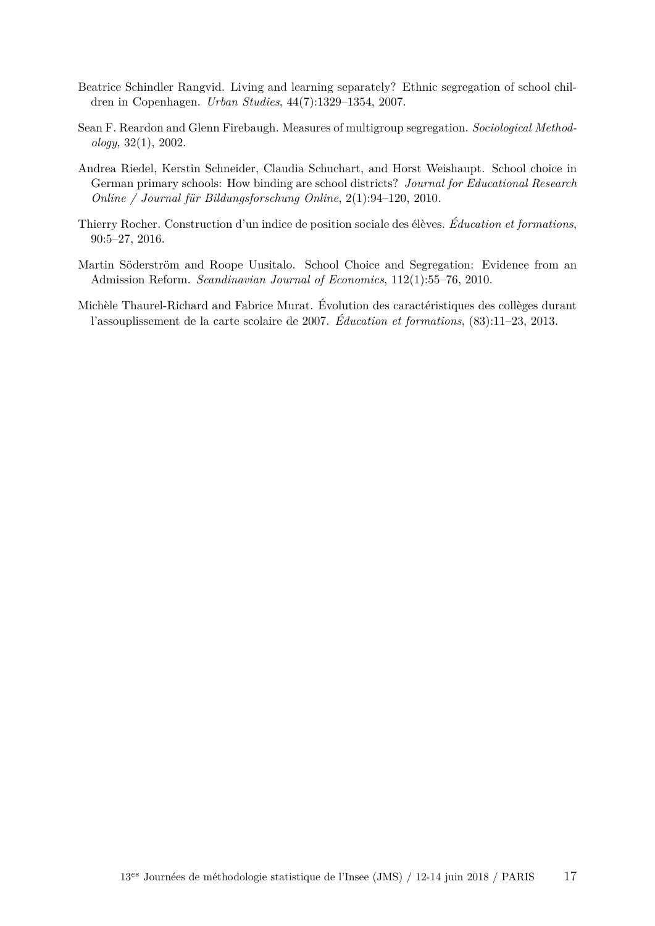- <span id="page-16-2"></span>Beatrice Schindler Rangvid. Living and learning separately? Ethnic segregation of school children in Copenhagen. *Urban Studies*, 44(7):1329–1354, 2007.
- <span id="page-16-5"></span>Sean F. Reardon and Glenn Firebaugh. Measures of multigroup segregation. *Sociological Methodology*, 32(1), 2002.
- <span id="page-16-3"></span>Andrea Riedel, Kerstin Schneider, Claudia Schuchart, and Horst Weishaupt. School choice in German primary schools: How binding are school districts? *Journal for Educational Research Online / Journal für Bildungsforschung Online*, 2(1):94–120, 2010.
- <span id="page-16-4"></span>Thierry Rocher. Construction d'un indice de position sociale des élèves. *Éducation et formations*, 90:5–27, 2016.
- <span id="page-16-1"></span>Martin Söderström and Roope Uusitalo. School Choice and Segregation: Evidence from an Admission Reform. *Scandinavian Journal of Economics*, 112(1):55–76, 2010.
- <span id="page-16-0"></span>Michèle Thaurel-Richard and Fabrice Murat. Évolution des caractéristiques des collèges durant l'assouplissement de la carte scolaire de 2007. *Éducation et formations*, (83):11–23, 2013.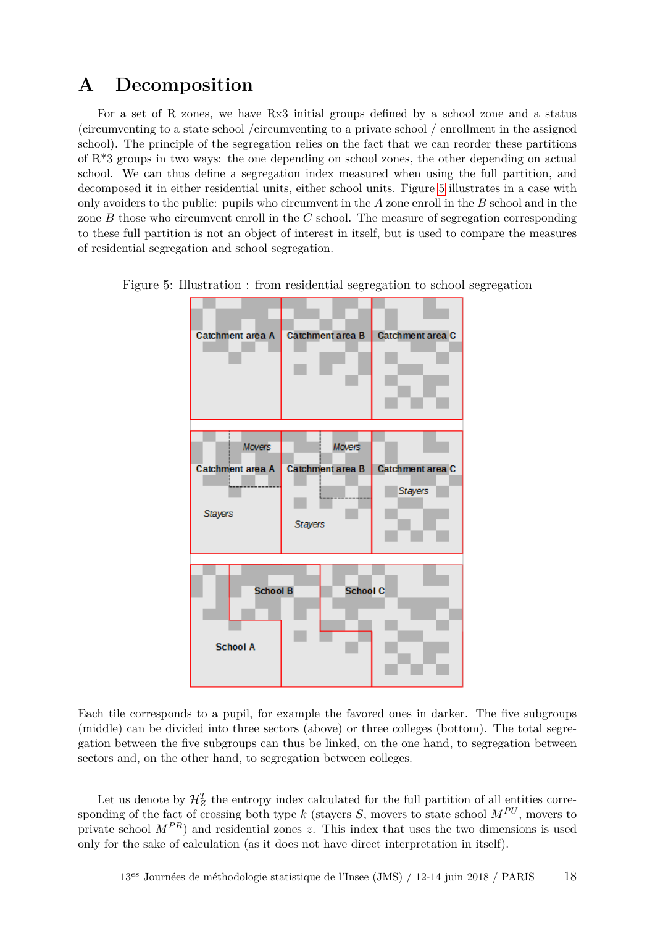### **A Decomposition**

For a set of R zones, we have Rx3 initial groups defined by a school zone and a status (circumventing to a state school /circumventing to a private school / enrollment in the assigned school). The principle of the segregation relies on the fact that we can reorder these partitions of R\*3 groups in two ways: the one depending on school zones, the other depending on actual school. We can thus define a segregation index measured when using the full partition, and decomposed it in either residential units, either school units. Figure [5](#page-17-0) illustrates in a case with only avoiders to the public: pupils who circumvent in the *A* zone enroll in the *B* school and in the zone *B* those who circumvent enroll in the *C* school. The measure of segregation corresponding to these full partition is not an object of interest in itself, but is used to compare the measures of residential segregation and school segregation.



<span id="page-17-0"></span>Figure 5: Illustration : from residential segregation to school segregation

Each tile corresponds to a pupil, for example the favored ones in darker. The five subgroups (middle) can be divided into three sectors (above) or three colleges (bottom). The total segregation between the five subgroups can thus be linked, on the one hand, to segregation between sectors and, on the other hand, to segregation between colleges.

Let us denote by  $\mathcal{H}_Z^T$  the entropy index calculated for the full partition of all entities corresponding of the fact of crossing both type *k* (stayers *S*, movers to state school  $M^{PU}$ , movers to private school  $M^{PR}$ ) and residential zones *z*. This index that uses the two dimensions is used only for the sake of calculation (as it does not have direct interpretation in itself).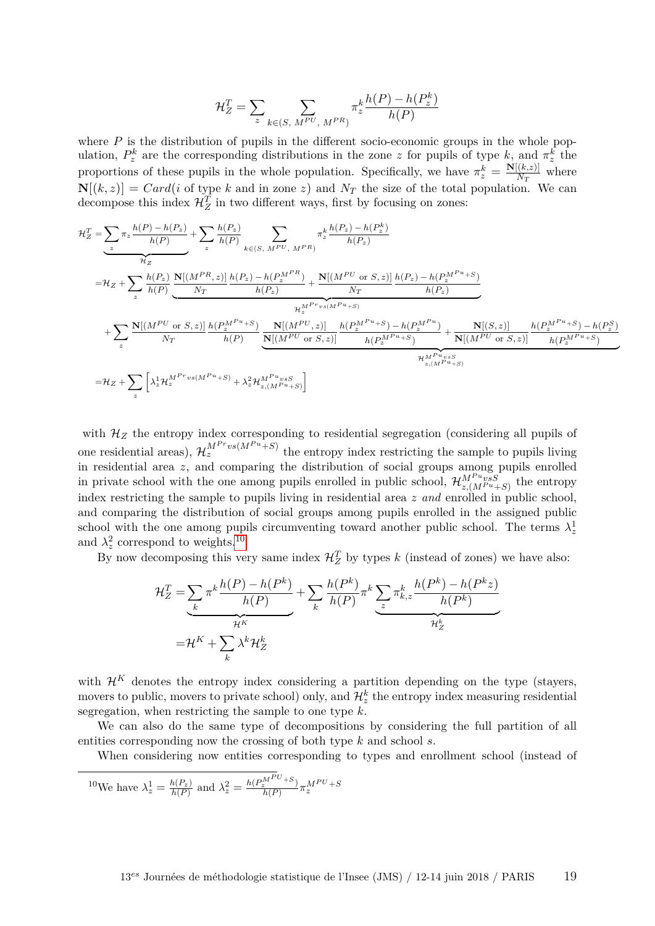$$
\mathcal{H}_Z^T = \sum_{z} \sum_{k \in (S, M^{PU}, M^{PR})} \pi_z^k \frac{h(P) - h(P_z^k)}{h(P)}
$$

where  $P$  is the distribution of pupils in the different socio-economic groups in the whole population,  $P_z^k$  are the corresponding distributions in the zone *z* for pupils of type *k*, and  $\pi_z^k$  the proportions of these pupils in the whole population. Specifically, we have  $\pi_z^k = \frac{\mathbf{N}[(k,z)]}{N_T}$  $\frac{N(T,K,z)}{N(T)}$  where  $N[(k, z)] = Card(i$  of type k and in zone z) and  $N_T$  the size of the total population. We can decompose this index  $\mathcal{H}_Z^T$  in two different ways, first by focusing on zones:

$$
\begin{split} &\mathcal{H}_Z^T = \underbrace{\sum_z \pi_z \frac{h(P) - h(P_z)}{h(P)}}_{\mathcal{H}_Z} + \sum_z \frac{h(P_z)}{h(P)} \sum_{k \in (S, M^{PU}, M^{PR})} \pi_z^{k} \frac{h(P_z) - h(P_z^{k})}{h(P_z)} \\ =& \mathcal{H}_Z + \sum_z \frac{h(P_z)}{h(P)} \underbrace{\frac{\mathbf{N}[(M^{PR}, z)]}{N_T} \frac{h(P_z) - h(P_z^{M^{PR}})}{h(P_z)} + \frac{\mathbf{N}[(M^{PU} \text{ or } S, z)]}{N_T} \frac{h(P_z) - h(P_z^{M^{P_u} + S})}{h(P_z)}}_{\mathcal{H}_z^{M^{Pr} vs (M^{P_u} + S)}} \\ &+ \sum_z \frac{\mathbf{N}[(M^{PU} \text{ or } S, z)]}{N_T} \frac{h(P_z^{M^{P_u} + S})}{h(P)} \underbrace{\frac{\mathbf{N}[(M^{PU}, z)]}{\mathbf{N}[(M^{PU}, z)]} \frac{h(P_z^{M^{P_u} + S}) - h(P_z^{M^{P_u}})}{h(P_z^{M^{P_u} + S})} + \frac{\mathbf{N}[(S, z)]}{\mathbf{N}[(M^{PU} \text{ or } S, z)]} \frac{h(P_z^{M^{P_u} + S}) - h(P_z^{S})}{h(P_z^{M^{P_u} + S})} }_{\mathcal{H}_{z,(M^{P_u} + S)}^M} \\ =& \mathcal{H}_Z + \sum_z \left[ \lambda_z^1 \mathcal{H}_z^{M^{Pr} vs (M^{P_u} + S)} + \lambda_z^2 \mathcal{H}_{z,(M^{P_u} + S)}^{M^{P_u} vs S} \right] \\ \end{split}
$$

with  $\mathcal{H}_Z$  the entropy index corresponding to residential segregation (considering all pupils of one residential areas),  $\mathcal{H}_z^{M^{Pr}vs(M^{Pu}+S)}$  the entropy index restricting the sample to pupils living in residential area *z*, and comparing the distribution of social groups among pupils enrolled in private school with the one among pupils enrolled in public school,  $\mathcal{H}_{z,(M^{Pu}+S)}^{M^{Pu} \nu s \overline{S}}$  the entropy index restricting the sample to pupils living in residential area *z and* enrolled in public school, and comparing the distribution of social groups among pupils enrolled in the assigned public school with the one among pupils circumventing toward another public school. The terms  $\lambda^1_z$ and  $\lambda_z^2$  correspond to weights.<sup>[10](#page-0-0)</sup>

By now decomposing this very same index  $\mathcal{H}_Z^T$  by types *k* (instead of zones) we have also:

$$
\mathcal{H}_Z^T = \underbrace{\sum_k \pi^k \frac{h(P) - h(P^k)}{h(P)}}_{\mathcal{H}^K} + \sum_k \frac{h(P^k)}{h(P)} \pi^k \underbrace{\sum_k \pi^k_{k,z} \frac{h(P^k) - h(P^k z)}{h(P^k)}}_{\mathcal{H}_Z^k}
$$
\n
$$
= \mathcal{H}^K + \sum_k \lambda^k \mathcal{H}_Z^k
$$

with  $\mathcal{H}^K$  denotes the entropy index considering a partition depending on the type (stayers, movers to public, movers to private school) only, and  $\mathcal{H}^k_z$  the entropy index measuring residential segregation, when restricting the sample to one type *k*.

We can also do the same type of decompositions by considering the full partition of all entities corresponding now the crossing of both type *k* and school *s*.

When considering now entities corresponding to types and enrollment school (instead of

$$
{}^{10}\text{We have }\lambda_z^1 = \frac{h(P_z)}{h(P)} \text{ and }\lambda_z^2 = \frac{h(P_z^{M^{PU}+S})}{h(P)}\pi_z^{M^{PU}+S}
$$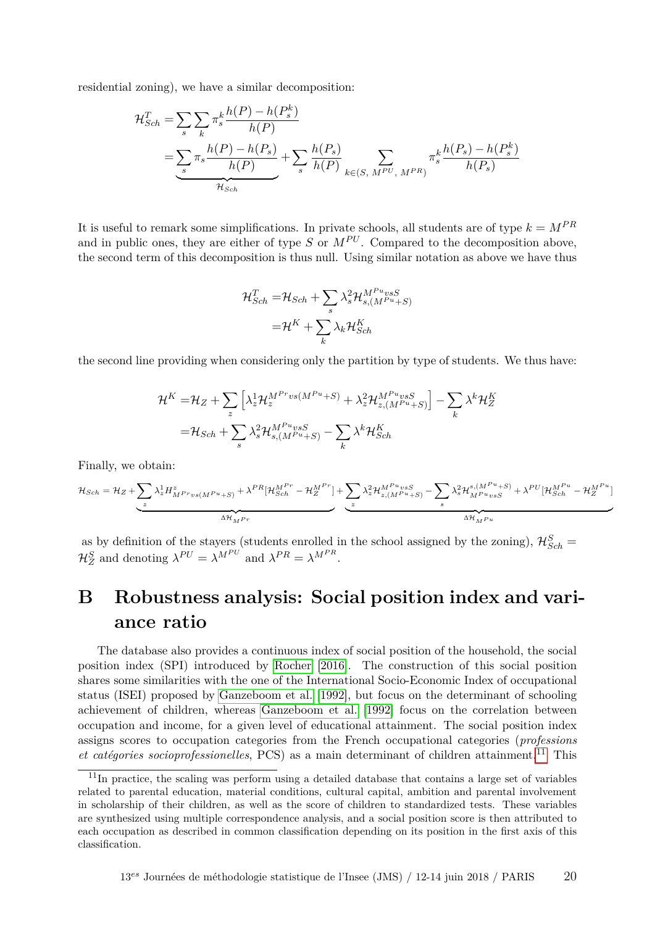residential zoning), we have a similar decomposition:

$$
\mathcal{H}_{Sch}^{T} = \sum_{s} \sum_{k} \pi_{s}^{k} \frac{h(P) - h(P_{s}^{k})}{h(P)} \n= \underbrace{\sum_{s} \pi_{s} \frac{h(P) - h(P_{s})}{h(P)} + \sum_{s} \frac{h(P_{s})}{h(P)}}_{\mathcal{H}_{Sch}} + \sum_{k \in (S, M^{PU}, M^{PR})} \pi_{s}^{k} \frac{h(P_{s}) - h(P_{s}^{k})}{h(P_{s})}
$$

It is useful to remark some simplifications. In private schools, all students are of type  $k = M^{PR}$ and in public ones, they are either of type  $S$  or  $M^{PU}$ . Compared to the decomposition above, the second term of this decomposition is thus null. Using similar notation as above we have thus

$$
\mathcal{H}_{Sch}^T = \mathcal{H}_{Sch} + \sum_s \lambda_s^2 \mathcal{H}_{s,(M^{P_u} \times S)}^{M^{P_u} \times S}
$$

$$
= \mathcal{H}^K + \sum_k \lambda_k \mathcal{H}_{Sch}^K
$$

the second line providing when considering only the partition by type of students. We thus have:

$$
\mathcal{H}^{K} = \mathcal{H}_{Z} + \sum_{z} \left[ \lambda_{z}^{1} \mathcal{H}_{z}^{M^{Pr}vs(M^{Pu}+S)} + \lambda_{z}^{2} \mathcal{H}_{z,(M^{Pu}+S)}^{M^{Pu}vsS} \right] - \sum_{k} \lambda^{k} \mathcal{H}_{Z}^{K}
$$

$$
= \mathcal{H}_{Sch} + \sum_{s} \lambda_{s}^{2} \mathcal{H}_{s,(M^{Pu}+S)}^{M^{Pu}vsS} - \sum_{k} \lambda^{k} \mathcal{H}_{Sch}^{K}
$$

Finally, we obtain:

$$
\mathcal{H}_{Sch} = \mathcal{H}_Z + \underbrace{\sum_z \lambda_z^1 H^z_{M^{Pr} vs (M^{Pu} + S)} + \lambda^{PR} [\mathcal{H}_{Sch}^{M^{Pr}} - \mathcal{H}_Z^{M^{Pr}}] + \sum_z \lambda_z^2 \mathcal{H}_{z, (M^{Pu} + S)}^{M^{Pu} vs S} - \sum_s \lambda_s^2 \mathcal{H}_{M^{Pu} vs S}^{s, (M^{Pu} + S)} + \lambda^{PU} [\mathcal{H}_{Sch}^{M^{Pu}} - \mathcal{H}_Z^{M^{Pu}}] + \sum_z \lambda_z^2 \mathcal{H}_{z, (M^{Pu} + S)}^{M^{Pu} vs S} - \sum_z \lambda_z^2 \mathcal{H}_{M^{Pu} vs S}^{s, (M^{Pu} + S)} + \lambda^{PU} [\mathcal{H}_{Sch}^{M^{Pu}} - \mathcal{H}_Z^{M^{Pu}}] + \sum_z \lambda_z^2 \mathcal{H}_{z, (M^{Pu} + S)}^{M^{Pu} vs S} - \sum_z \lambda_z^2 \mathcal{H}_{M^{Pu} vs S}^{s, (M^{Pu} + S)} + \lambda^{PU} [\mathcal{H}_{Sch}^{M^{Pu}} - \mathcal{H}_{Z}^{M^{Pu}}] + \sum_z \lambda_z^2 \mathcal{H}_{z, (M^{Pu} + S)}^{M^{Pu} vs S} - \sum_z \lambda_z^2 \mathcal{H}_{M^{Pu} vs S}^{s, (M^{Pu} + S)} + \lambda^{PU} [\mathcal{H}_{Sch}^{M^{Pu}} - \mathcal{H}_{Z}^{M^{Pu}}] + \sum_z \lambda_z^2 \mathcal{H}_{z, (M^{Pu} + S)}^{M^{Pu} vs S} + \lambda^{PU} [\mathcal{H}_{Sch}^{M^{Pu}} - \mathcal{H}_{Z}^{M^{Pu}}] + \sum_z \lambda_z^2 \mathcal{H}_{z, (M^{Pu} + S)}^{M^{Pu} vs S} + \sum_z \lambda_z^2 \mathcal{H}_{M^{Pu} vs S}^{M^{Pu} vs S} + \lambda^{PU} [\mathcal{H}_{Sch}^{M^{Pu}} - \mathcal{H}_{Z}^{M^{Pu}}] + \sum_z \lambda_z^2 \mathcal{H}_{z, (M^{Pu} + S)}^{M^{Pu} vs S} + \lambda^{PU} [\mathcal{H}_{Sch}^{M^{Pu}} - \mathcal{H}_{Z}^{M^{Pu}}] + \sum_z \lambda_z^2 \mathcal{H}_{z, (M^{Pu} + S)}^{M^{Pu} vs S} + \lambda^{PU} [\mathcal{H}_{Sch}^{M^{Pu}} -
$$

as by definition of the stayers (students enrolled in the school assigned by the zoning),  $\mathcal{H}_{Sch}^S$  =  $\mathcal{H}_Z^S$  and denoting  $\lambda^{PU} = \lambda^{M^{PU}}$  and  $\lambda^{PR} = \lambda^{M^{PR}}$ .

# **B Robustness analysis: Social position index and variance ratio**

The database also provides a continuous index of social position of the household, the social position index (SPI) introduced by [Rocher](#page-16-4) [\[2016\]](#page-16-4). The construction of this social position shares some similarities with the one of the International Socio-Economic Index of occupational status (ISEI) proposed by [Ganzeboom et al.](#page-15-15) [\[1992\]](#page-15-15), but focus on the determinant of schooling achievement of children, whereas [Ganzeboom et al.](#page-15-15) [\[1992\]](#page-15-15) focus on the correlation between occupation and income, for a given level of educational attainment. The social position index assigns scores to occupation categories from the French occupational categories (*professions et catégories socioprofessionelles*, PCS) as a main determinant of children attainment.<sup>[11](#page-0-0)</sup> This

<sup>11</sup>In practice, the scaling was perform using a detailed database that contains a large set of variables related to parental education, material conditions, cultural capital, ambition and parental involvement in scholarship of their children, as well as the score of children to standardized tests. These variables are synthesized using multiple correspondence analysis, and a social position score is then attributed to each occupation as described in common classification depending on its position in the first axis of this classification.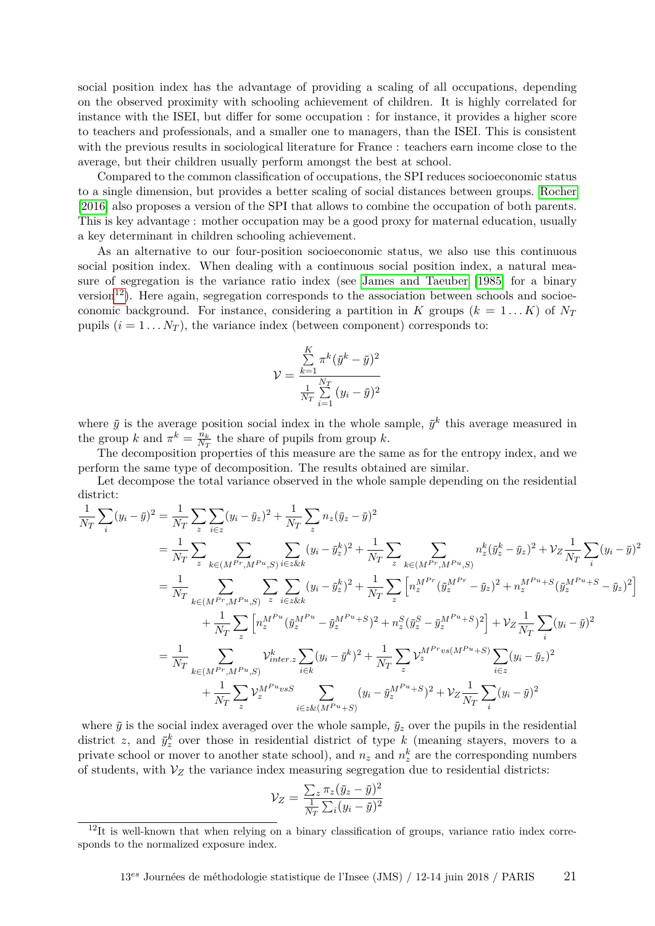social position index has the advantage of providing a scaling of all occupations, depending on the observed proximity with schooling achievement of children. It is highly correlated for instance with the ISEI, but differ for some occupation : for instance, it provides a higher score to teachers and professionals, and a smaller one to managers, than the ISEI. This is consistent with the previous results in sociological literature for France : teachers earn income close to the average, but their children usually perform amongst the best at school.

Compared to the common classification of occupations, the SPI reduces socioeconomic status to a single dimension, but provides a better scaling of social distances between groups. [Rocher](#page-16-4) [\[2016\]](#page-16-4) also proposes a version of the SPI that allows to combine the occupation of both parents. This is key advantage : mother occupation may be a good proxy for maternal education, usually a key determinant in children schooling achievement.

As an alternative to our four-position socioeconomic status, we also use this continuous social position index. When dealing with a continuous social position index, a natural measure of segregation is the variance ratio index (see [James and Taeuber](#page-15-16) [\[1985\]](#page-15-16) for a binary version<sup>[12](#page-0-0)</sup>). Here again, segregation corresponds to the association between schools and socioeconomic background. For instance, considering a partition in *K* groups  $(k = 1...K)$  of  $N_T$ pupils  $(i = 1 \ldots N_T)$ , the variance index (between component) corresponds to:

$$
\mathcal{V} = \frac{\sum_{k=1}^{K} \pi^k (\bar{y}^k - \bar{y})^2}{\frac{1}{N_T} \sum_{i=1}^{N_T} (y_i - \bar{y})^2}
$$

where  $\bar{y}$  is the average position social index in the whole sample,  $\bar{y}^k$  this average measured in the group *k* and  $\pi^k = \frac{n_k}{N_a}$  $\frac{n_k}{N_T}$  the share of pupils from group *k*.

The decomposition properties of this measure are the same as for the entropy index, and we perform the same type of decomposition. The results obtained are similar.

Let decompose the total variance observed in the whole sample depending on the residential district:

$$
\frac{1}{N_T} \sum_{i} (y_i - \bar{y})^2 = \frac{1}{N_T} \sum_{z} \sum_{i \in z} (y_i - \bar{y}_z)^2 + \frac{1}{N_T} \sum_{z} n_z (\bar{y}_z - \bar{y})^2
$$
\n
$$
= \frac{1}{N_T} \sum_{z} \sum_{k \in (M^{Pr}, M^{Pu}, S)} \sum_{i \in z \& k} (y_i - \bar{y}_z^k)^2 + \frac{1}{N_T} \sum_{z} \sum_{k \in (M^{Pr}, M^{Pu}, S)} n_z^k (\bar{y}_z^k - \bar{y}_z)^2 + \mathcal{V}_Z \frac{1}{N_T} \sum_{i} (y_i - \bar{y})^2
$$
\n
$$
= \frac{1}{N_T} \sum_{k \in (M^{Pr}, M^{Pu}, S)} \sum_{z} \sum_{i \in z \& k} (y_i - \bar{y}_z^k)^2 + \frac{1}{N_T} \sum_{z} \left[ n_z^{M^{Pr}} (\bar{y}_z^{M^{Pr}} - \bar{y}_z)^2 + n_z^{M^{Pu} + S} (\bar{y}_z^{M^{Pu} + S} - \bar{y}_z)^2 \right]
$$
\n
$$
+ \frac{1}{N_T} \sum_{z} \left[ n_z^{M^{Pu}} (\bar{y}_z^{M^{Pu}} - \bar{y}_z^{M^{Pu} + S})^2 + n_z^S (\bar{y}_z^S - \bar{y}_z^{M^{Pu} + S})^2 \right] + \mathcal{V}_Z \frac{1}{N_T} \sum_{i} (y_i - \bar{y})^2
$$
\n
$$
= \frac{1}{N_T} \sum_{k \in (M^{Pr}, M^{Pu}, S)} \mathcal{V}_{inter,z}^k \sum_{i \in k} (y_i - \bar{y}^k)^2 + \frac{1}{N_T} \sum_{z} \mathcal{V}_z^{M^{Pr} v s (M^{Pu} + S)} \sum_{i \in z} (y_i - \bar{y}_z)^2
$$
\n
$$
+ \frac{1}{N_T} \sum_{z} \mathcal{V}_z^{M^{Pu} v s S} \sum_{i \in z \& (M^{Pu} + S)} (y_i - \bar{y}_z^{M^{Pu} + S})^2 + \mathcal{V}_Z \frac{1}{N_T} \sum_{i} (y_i - \bar{y})^2
$$

where  $\bar{y}$  is the social index averaged over the whole sample,  $\bar{y}_z$  over the pupils in the residential district *z*, and  $\bar{y}_z^k$  over those in residential district of type *k* (meaning stayers, movers to a private school or mover to another state school), and  $n_z$  and  $n_z^k$  are the corresponding numbers of students, with  $V_Z$  the variance index measuring segregation due to residential districts:

$$
\mathcal{V}_Z = \frac{\sum_z \pi_z (\bar{y}_z - \bar{y})^2}{\frac{1}{N_T} \sum_i (y_i - \bar{y})^2}
$$

 $12$ It is well-known that when relying on a binary classification of groups, variance ratio index corresponds to the normalized exposure index.